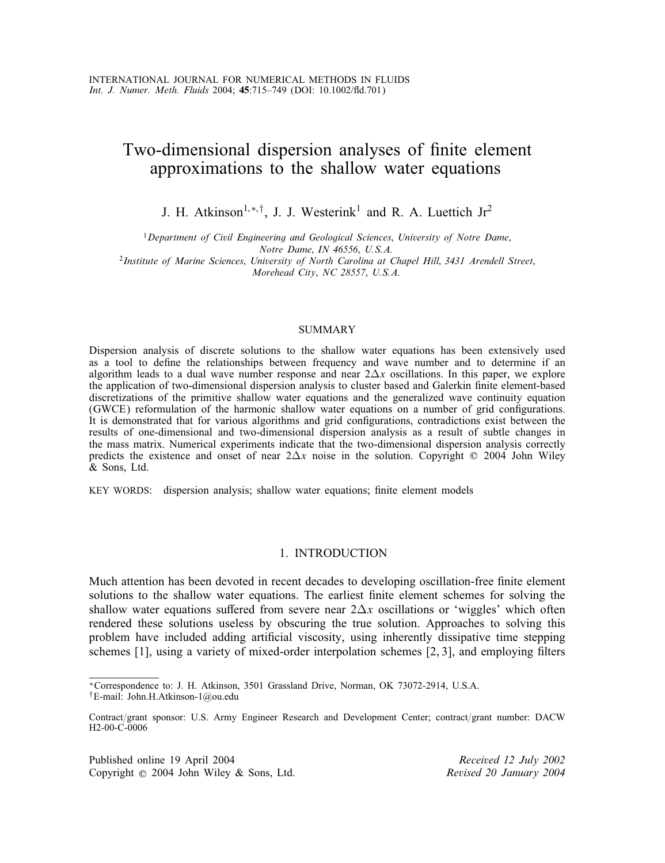# Two-dimensional dispersion analyses of finite element approximations to the shallow water equations

J. H. Atkinson<sup>1,\*,†</sup>, J. J. Westerink<sup>1</sup> and R. A. Luettich Jr<sup>2</sup>

<sup>1</sup>*Department of Civil Engineering and Geological Sciences*; *University of Notre Dame*;

*Notre Dame*; *IN 46556*; *U.S.A.* <sup>2</sup>*Institute of Marine Sciences*; *University of North Carolina at Chapel Hill*; *3431 Arendell Street*; *Morehead City*; *NC 28557*; *U.S.A.*

# SUMMARY

Dispersion analysis of discrete solutions to the shallow water equations has been extensively used as a tool to define the relationships between frequency and wave number and to determine if an algorithm leads to a dual wave number response and near  $2\Delta x$  oscillations. In this paper, we explore the application of two-dimensional dispersion analysis to cluster based and Galerkin finite element-based discretizations of the primitive shallow water equations and the generalized wave continuity equation (GWCE) reformulation of the harmonic shallow water equations on a number of grid configurations. It is demonstrated that for various algorithms and grid configurations, contradictions exist between the results of one-dimensional and two-dimensional dispersion analysis as a result of subtle changes in the mass matrix. Numerical experiments indicate that the two-dimensional dispersion analysis correctly predicts the existence and onset of near  $2\Delta x$  noise in the solution. Copyright  $\odot$  2004 John Wiley & Sons, Ltd.

KEY WORDS: dispersion analysis; shallow water equations; finite element models

### 1. INTRODUCTION

Much attention has been devoted in recent decades to developing oscillation-free finite element solutions to the shallow water equations. The earliest finite element schemes for solving the shallow water equations suffered from severe near  $2\Delta x$  oscillations or 'wiggles' which often rendered these solutions useless by obscuring the true solution. Approaches to solving this problem have included adding artificial viscosity, using inherently dissipative time stepping schemes  $[1]$ , using a variety of mixed-order interpolation schemes  $[2, 3]$ , and employing filters

Published online 19 April 2004 *Received 12 July 2002* Copyright ? 2004 John Wiley & Sons, Ltd. *Revised 20 January 2004*

<sup>∗</sup>Correspondence to: J. H. Atkinson, 3501 Grassland Drive, Norman, OK 73072-2914, U.S.A.

<sup>†</sup>E-mail: John.H.Atkinson-1@ou.edu

Contract/grant sponsor: U.S. Army Engineer Research and Development Center; contract/grant number: DACW H2-00-C-0006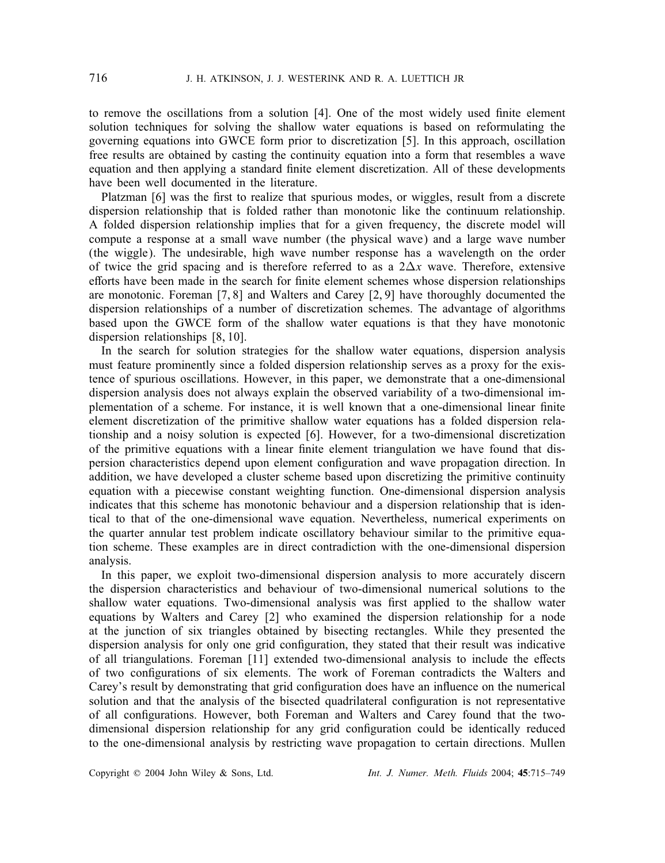to remove the oscillations from a solution [4]. One of the most widely used finite element solution techniques for solving the shallow water equations is based on reformulating the governing equations into GWCE form prior to discretization [5]. In this approach, oscillation free results are obtained by casting the continuity equation into a form that resembles a wave equation and then applying a standard finite element discretization. All of these developments have been well documented in the literature.

Platzman [6] was the first to realize that spurious modes, or wiggles, result from a discrete dispersion relationship that is folded rather than monotonic like the continuum relationship. A folded dispersion relationship implies that for a given frequency, the discrete model will compute a response at a small wave number (the physical wave) and a large wave number (the wiggle). The undesirable, high wave number response has a wavelength on the order of twice the grid spacing and is therefore referred to as a  $2\Delta x$  wave. Therefore, extensive efforts have been made in the search for finite element schemes whose dispersion relationships are monotonic. Foreman [7, 8] and Walters and Carey [2, 9] have thoroughly documented the dispersion relationships of a number of discretization schemes. The advantage of algorithms based upon the GWCE form of the shallow water equations is that they have monotonic dispersion relationships [8, 10].

In the search for solution strategies for the shallow water equations, dispersion analysis must feature prominently since a folded dispersion relationship serves as a proxy for the existence of spurious oscillations. However, in this paper, we demonstrate that a one-dimensional dispersion analysis does not always explain the observed variability of a two-dimensional implementation of a scheme. For instance, it is well known that a one-dimensional linear finite element discretization of the primitive shallow water equations has a folded dispersion relationship and a noisy solution is expected [6]. However, for a two-dimensional discretization of the primitive equations with a linear finite element triangulation we have found that dispersion characteristics depend upon element configuration and wave propagation direction. In addition, we have developed a cluster scheme based upon discretizing the primitive continuity equation with a piecewise constant weighting function. One-dimensional dispersion analysis indicates that this scheme has monotonic behaviour and a dispersion relationship that is identical to that of the one-dimensional wave equation. Nevertheless, numerical experiments on the quarter annular test problem indicate oscillatory behaviour similar to the primitive equation scheme. These examples are in direct contradiction with the one-dimensional dispersion analysis.

In this paper, we exploit two-dimensional dispersion analysis to more accurately discern the dispersion characteristics and behaviour of two-dimensional numerical solutions to the shallow water equations. Two-dimensional analysis was first applied to the shallow water equations by Walters and Carey [2] who examined the dispersion relationship for a node at the junction of six triangles obtained by bisecting rectangles. While they presented the dispersion analysis for only one grid configuration, they stated that their result was indicative of all triangulations. Foreman [11] extended two-dimensional analysis to include the effects of two configurations of six elements. The work of Foreman contradicts the Walters and Carey's result by demonstrating that grid configuration does have an influence on the numerical solution and that the analysis of the bisected quadrilateral configuration is not representative of all configurations. However, both Foreman and Walters and Carey found that the twodimensional dispersion relationship for any grid configuration could be identically reduced to the one-dimensional analysis by restricting wave propagation to certain directions. Mullen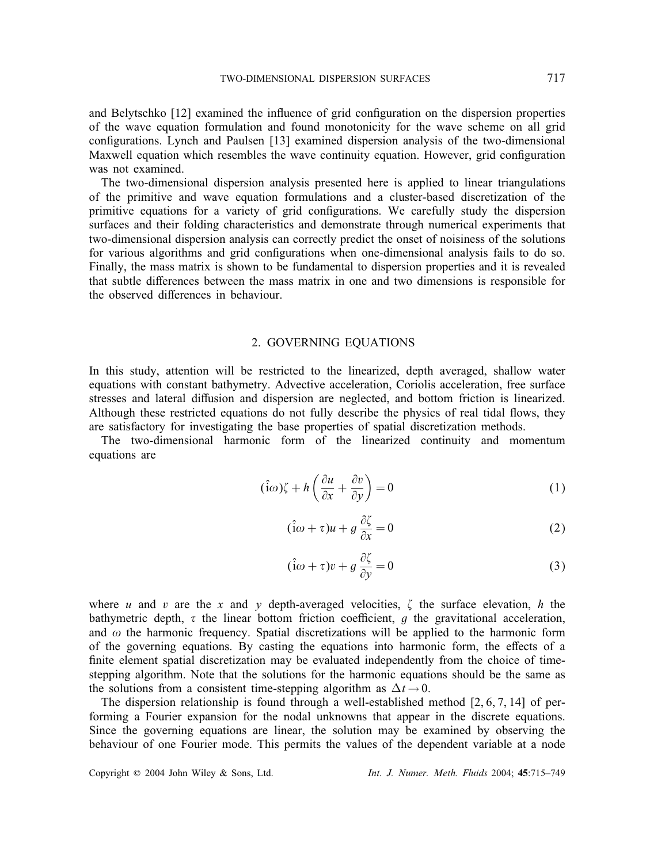and Belytschko [12] examined the influence of grid configuration on the dispersion properties of the wave equation formulation and found monotonicity for the wave scheme on all grid configurations. Lynch and Paulsen [13] examined dispersion analysis of the two-dimensional Maxwell equation which resembles the wave continuity equation. However, grid configuration was not examined.

The two-dimensional dispersion analysis presented here is applied to linear triangulations of the primitive and wave equation formulations and a cluster-based discretization of the primitive equations for a variety of grid configurations. We carefully study the dispersion surfaces and their folding characteristics and demonstrate through numerical experiments that two-dimensional dispersion analysis can correctly predict the onset of noisiness of the solutions for various algorithms and grid configurations when one-dimensional analysis fails to do so. Finally, the mass matrix is shown to be fundamental to dispersion properties and it is revealed that subtle differences between the mass matrix in one and two dimensions is responsible for the observed differences in behaviour.

# 2. GOVERNING EQUATIONS

In this study, attention will be restricted to the linearized, depth averaged, shallow water equations with constant bathymetry. Advective acceleration, Coriolis acceleration, free surface stresses and lateral diffusion and dispersion are neglected, and bottom friction is linearized. Although these restricted equations do not fully describe the physics of real tidal flows, they are satisfactory for investigating the base properties of spatial discretization methods.

The two-dimensional harmonic form of the linearized continuity and momentum equations are

$$
(\hat{i}\omega)\zeta + h\left(\frac{\partial u}{\partial x} + \frac{\partial v}{\partial y}\right) = 0\tag{1}
$$

$$
(\hat{i}\omega + \tau)u + g\frac{\partial \zeta}{\partial x} = 0
$$
 (2)

$$
(\hat{i}\omega + \tau)v + g\frac{\partial \zeta}{\partial y} = 0
$$
 (3)

where u and v are the x and y depth-averaged velocities,  $\zeta$  the surface elevation, h the bathymetric depth,  $\tau$  the linear bottom friction coefficient,  $g$  the gravitational acceleration, and  $\omega$  the harmonic frequency. Spatial discretizations will be applied to the harmonic form and  $\omega$  the harmonic frequency. Spatial discretizations will be applied to the harmonic form of the governing equations. By casting the equations into harmonic form, the effects of a finite element spatial discretization may be evaluated independently from the choice of timestepping algorithm. Note that the solutions for the harmonic equations should be the same as the solutions from a consistent time-stepping algorithm as  $\Delta t \rightarrow 0$ .

The dispersion relationship is found through a well-established method [2, 6, 7, 14] of performing a Fourier expansion for the nodal unknowns that appear in the discrete equations. Since the governing equations are linear, the solution may be examined by observing the behaviour of one Fourier mode. This permits the values of the dependent variable at a node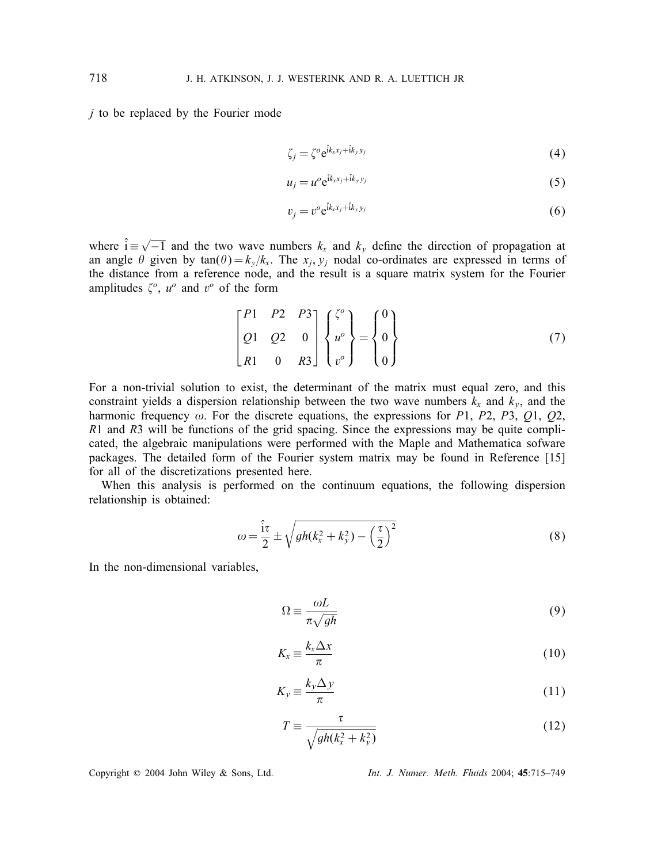$j$  to be replaced by the Fourier mode

$$
\zeta_j = \zeta^o e^{\hat{i}k_x x_j + \hat{i}k_y y_j}
$$
\n(4)

$$
u_j = u^o e^{\hat{i}k_x x_j + \hat{i}k_y y_j}
$$
 (5)

$$
v_j = v^o e^{\hat{i}k_x x_j + \hat{i}k_y y_j}
$$
 (6)

where  $\hat{i} \equiv \sqrt{-1}$  and the two wave numbers  $k_x$  and  $k_y$  define the direction of propagation at an angle  $\theta$  given by  $\tan(\theta) = k/k$ . The x, y, nodal co-ordinates are expressed in terms of an angle  $\theta$  given by tan $(\theta) = k_y/k_x$ . The  $x_i, y_j$  nodal co-ordinates are expressed in terms of the distance from a reference node, and the result is a square matrix system for the Fourier amplitudes  $\zeta^o$ ,  $u^o$  and  $v^o$  of the form

$$
\begin{bmatrix} P1 & P2 & P3 \\ Q1 & Q2 & 0 \\ R1 & 0 & R3 \end{bmatrix} \begin{Bmatrix} \zeta^o \\ u^o \\ v^o \end{Bmatrix} = \begin{Bmatrix} 0 \\ 0 \\ 0 \end{Bmatrix}
$$
 (7)

For a non-trivial solution to exist, the determinant of the matrix must equal zero, and this constraint yields a dispersion relationship between the two wave numbers  $k_x$  and  $k_y$ , and the harmonic frequency  $\omega$ . For the discrete equations, the expressions for P1, P2, P3, Q1, Q2, R1 and R3 will be functions of the grid spacing. Since the expressions may be quite complicated, the algebraic manipulations were performed with the Maple and Mathematica sofware packages. The detailed form of the Fourier system matrix may be found in Reference [15] for all of the discretizations presented here.

When this analysis is performed on the continuum equations, the following dispersion relationship is obtained:

$$
\omega = \frac{\hat{i}\tau}{2} \pm \sqrt{gh(k_x^2 + k_y^2) - \left(\frac{\tau}{2}\right)^2} \tag{8}
$$

In the non-dimensional variables,

$$
\Omega \equiv \frac{\omega L}{\pi \sqrt{gh}}\tag{9}
$$

$$
K_x \equiv \frac{k_x \Delta x}{\pi} \tag{10}
$$

$$
K_y \equiv \frac{k_y \Delta y}{\pi} \tag{11}
$$

$$
T \equiv \frac{\tau}{\sqrt{gh(k_x^2 + k_y^2)}}
$$
(12)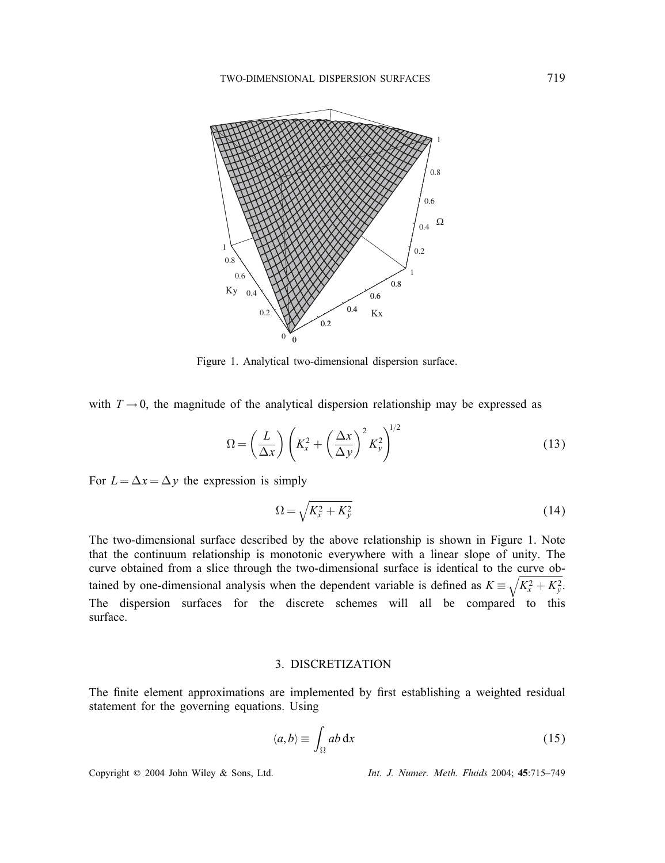

Figure 1. Analytical two-dimensional dispersion surface.

with  $T \rightarrow 0$ , the magnitude of the analytical dispersion relationship may be expressed as

$$
\Omega = \left(\frac{L}{\Delta x}\right) \left(K_x^2 + \left(\frac{\Delta x}{\Delta y}\right)^2 K_y^2\right)^{1/2} \tag{13}
$$

For  $L = \Delta x = \Delta y$  the expression is simply

$$
\Omega = \sqrt{K_x^2 + K_y^2} \tag{14}
$$

The two-dimensional surface described by the above relationship is shown in Figure 1. Note that the continuum relationship is monotonic everywhere with a linear slope of unity. The curve obtained from a slice through the two-dimensional surface is identical to the curve obtained by one-dimensional analysis when the dependent variable is defined as  $K = \sqrt{K_x^2 + K_y^2}$ . The dispersion surfaces for the discrete schemes will all be compared to this surface.

# 3. DISCRETIZATION

The finite element approximations are implemented by first establishing a weighted residual statement for the governing equations. Using

$$
\langle a, b \rangle \equiv \int_{\Omega} ab \, \mathrm{d}x \tag{15}
$$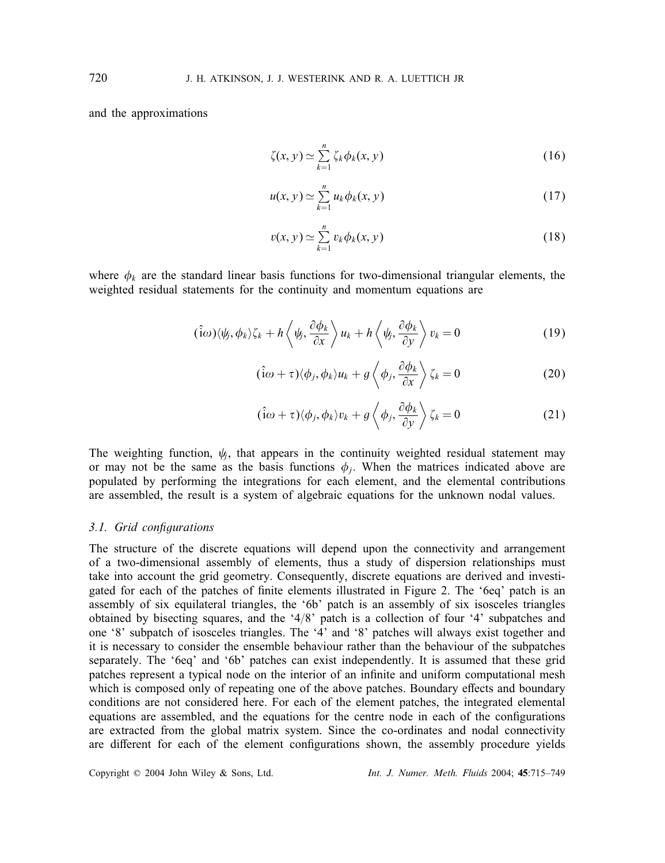and the approximations

$$
\zeta(x, y) \simeq \sum_{k=1}^{n} \zeta_k \phi_k(x, y) \tag{16}
$$

$$
u(x, y) \simeq \sum_{k=1}^{n} u_k \phi_k(x, y)
$$
\n(17)

$$
v(x, y) \simeq \sum_{k=1}^{n} v_k \phi_k(x, y)
$$
\n(18)

where  $\phi_k$  are the standard linear basis functions for two-dimensional triangular elements, the weighted residual statements for the continuity and momentum equations are

$$
(\hat{i}\omega)\langle\psi,\phi_k\rangle\zeta_k+h\left\langle\psi,\frac{\partial\phi_k}{\partial x}\right\rangle u_k+h\left\langle\psi_j,\frac{\partial\phi_k}{\partial y}\right\rangle v_k=0
$$
\n(19)

$$
(\hat{\mathbf{i}}\omega + \tau)\langle\phi_j, \phi_k\rangle u_k + g\left\langle\phi_j, \frac{\partial \phi_k}{\partial x}\right\rangle \zeta_k = 0
$$
\n(20)

$$
(\hat{i}\omega + \tau)\langle\phi_j, \phi_k\rangle v_k + g\left\langle\phi_j, \frac{\partial \phi_k}{\partial y}\right\rangle \zeta_k = 0
$$
\n(21)

The weighting function,  $\psi_i$ , that appears in the continuity weighted residual statement may or may not be the same as the basis functions  $\phi_i$ . When the matrices indicated above are populated by performing the integrations for each element, and the elemental contributions are assembled, the result is a system of algebraic equations for the unknown nodal values.

# *3.1. Grid congurations*

The structure of the discrete equations will depend upon the connectivity and arrangement of a two-dimensional assembly of elements, thus a study of dispersion relationships must take into account the grid geometry. Consequently, discrete equations are derived and investigated for each of the patches of finite elements illustrated in Figure 2. The '6eq' patch is an assembly of six equilateral triangles, the '6b' patch is an assembly of six isosceles triangles obtained by bisecting squares, and the '4/8' patch is a collection of four '4' subpatches and one '8' subpatch of isosceles triangles. The '4' and '8' patches will always exist together and it is necessary to consider the ensemble behaviour rather than the behaviour of the subpatches separately. The '6eq' and '6b' patches can exist independently. It is assumed that these grid patches represent a typical node on the interior of an infinite and uniform computational mesh which is composed only of repeating one of the above patches. Boundary effects and boundary conditions are not considered here. For each of the element patches, the integrated elemental equations are assembled, and the equations for the centre node in each of the configurations are extracted from the global matrix system. Since the co-ordinates and nodal connectivity are different for each of the element configurations shown, the assembly procedure yields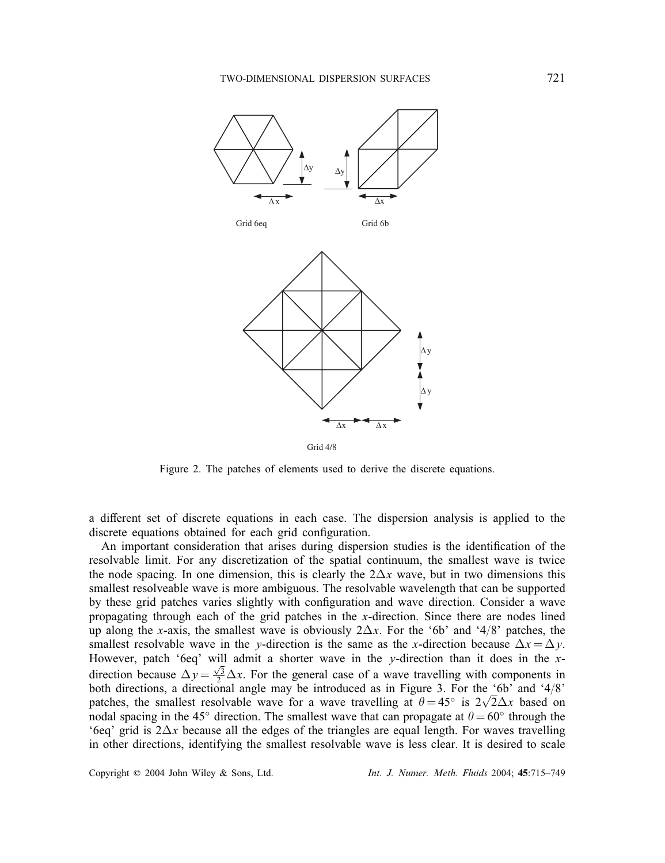

Figure 2. The patches of elements used to derive the discrete equations.

a different set of discrete equations in each case. The dispersion analysis is applied to the discrete equations obtained for each grid configuration.

An important consideration that arises during dispersion studies is the identification of the resolvable limit. For any discretization of the spatial continuum, the smallest wave is twice the node spacing. In one dimension, this is clearly the  $2\Delta x$  wave, but in two dimensions this smallest resolveable wave is more ambiguous. The resolvable wavelength that can be supported by these grid patches varies slightly with configuration and wave direction. Consider a wave propagating through each of the grid patches in the x-direction. Since there are nodes lined up along the x-axis, the smallest wave is obviously  $2\Delta x$ . For the '6b' and '4/8' patches, the smallest resolvable wave in the y-direction is the same as the x-direction because  $\Delta x = \Delta y$ . However, patch '6eq' will admit a shorter wave in the y-direction than it does in the  $x$ direction because  $\Delta y = \frac{\sqrt{3}}{2} \Delta x$ . For the general case of a wave travelling with components in hoth directions a directional angle may be introduced as in Figure 3. For the '6b' and '4/8' both directions, a directional angle may be introduced as in Figure 3. For the '6b' and '4/8' patches, the smallest resolvable wave for a wave travelling at  $\theta = 45^\circ$  is  $2\sqrt{2}\Delta x$  based on nodal spacing in the 45° direction. The smallest wave that can propagate at  $\theta = 60^\circ$  through the nodal spacing in the 45° direction. The smallest wave that can propagate at  $\theta = 60^\circ$  through the '6eq' grid is  $2\Delta x$  because all the edges of the triangles are equal length. For waves travelling in other directions, identifying the smallest resolvable wave is less clear. It is desired to scale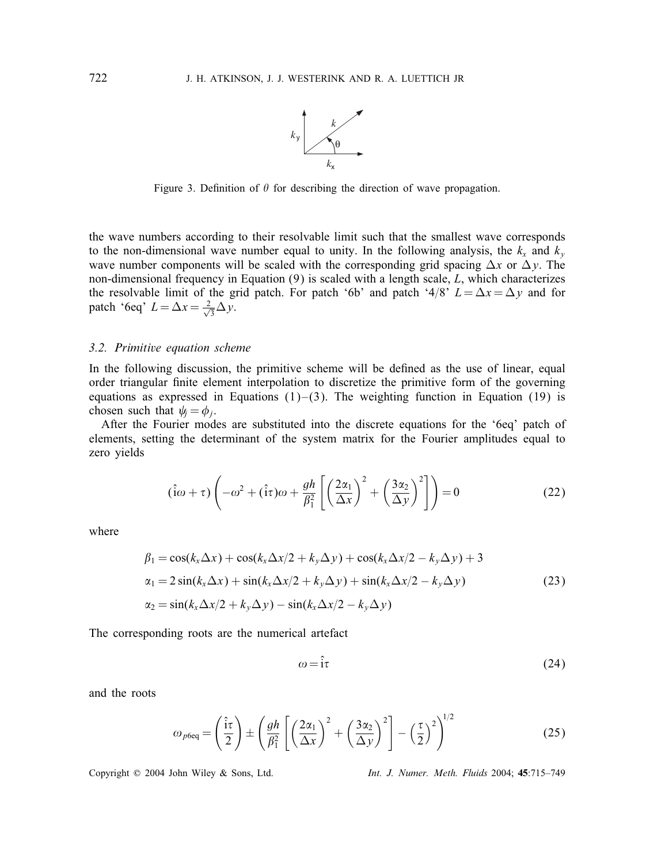

Figure 3. Definition of  $\theta$  for describing the direction of wave propagation.

the wave numbers according to their resolvable limit such that the smallest wave corresponds to the non-dimensional wave number equal to unity. In the following analysis, the  $k_x$  and  $k_y$ wave number components will be scaled with the corresponding grid spacing  $\Delta x$  or  $\Delta y$ . The non-dimensional frequency in Equation  $(9)$  is scaled with a length scale, L, which characterizes the resolvable limit of the grid patch. For patch '6b' and patch '4/8'  $L = \Delta x = \Delta y$  and for patch '6eq'  $L = \Delta x = \frac{2}{\sqrt{3}} \Delta y$ .

# *3.2. Primitive equation scheme*

In the following discussion, the primitive scheme will be defined as the use of linear, equal order triangular finite element interpolation to discretize the primitive form of the governing equations as expressed in Equations  $(1)$ – $(3)$ . The weighting function in Equation (19) is chosen such that  $\psi_i = \phi_i$ .

After the Fourier modes are substituted into the discrete equations for the '6eq' patch of elements, setting the determinant of the system matrix for the Fourier amplitudes equal to zero yields

$$
(\hat{i}\omega + \tau) \left( -\omega^2 + (\hat{i}\tau)\omega + \frac{gh}{\beta_1^2} \left[ \left( \frac{2\alpha_1}{\Delta x} \right)^2 + \left( \frac{3\alpha_2}{\Delta y} \right)^2 \right] \right) = 0 \tag{22}
$$

where

$$
\beta_1 = \cos(k_x \Delta x) + \cos(k_x \Delta x/2 + k_y \Delta y) + \cos(k_x \Delta x/2 - k_y \Delta y) + 3
$$
  
\n
$$
\alpha_1 = 2 \sin(k_x \Delta x) + \sin(k_x \Delta x/2 + k_y \Delta y) + \sin(k_x \Delta x/2 - k_y \Delta y)
$$
  
\n
$$
\alpha_2 = \sin(k_x \Delta x/2 + k_y \Delta y) - \sin(k_x \Delta x/2 - k_y \Delta y)
$$
\n(23)

The corresponding roots are the numerical artefact

$$
\omega = \hat{i}\tau \tag{24}
$$

and the roots

$$
\omega_{p6\text{eq}} = \left(\frac{\hat{\mathbf{i}}\tau}{2}\right) \pm \left(\frac{gh}{\beta_1^2} \left[\left(\frac{2\alpha_1}{\Delta x}\right)^2 + \left(\frac{3\alpha_2}{\Delta y}\right)^2\right] - \left(\frac{\tau}{2}\right)^2\right)^{1/2} \tag{25}
$$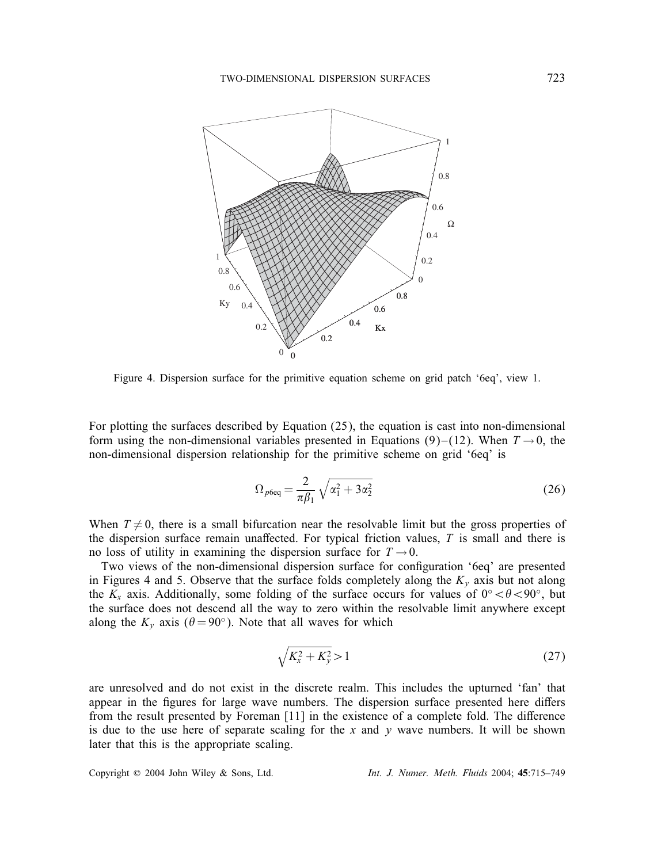

Figure 4. Dispersion surface for the primitive equation scheme on grid patch '6eq', view 1.

For plotting the surfaces described by Equation (25), the equation is cast into non-dimensional form using the non-dimensional variables presented in Equations (9)–(12). When  $T \rightarrow 0$ , the non-dimensional dispersion relationship for the primitive scheme on grid '6eq' is

$$
\Omega_{p6\text{eq}} = \frac{2}{\pi \beta_1} \sqrt{\alpha_1^2 + 3\alpha_2^2} \tag{26}
$$

When  $T \neq 0$ , there is a small bifurcation near the resolvable limit but the gross properties of the dispersion surface remain unaffected. For typical friction values,  $T$  is small and there is no loss of utility in examining the dispersion surface for  $T \rightarrow 0$ .

Two views of the non-dimensional dispersion surface for configuration '6eq' are presented in Figures 4 and 5. Observe that the surface folds completely along the  $K_y$  axis but not along the  $K_x$  axis. Additionally, some folding of the surface occurs for values of 0° <  $\theta$  < 90°, but the surface does not descend all the way to zero within the resolvable limit anywhere except along the  $K_v$  axis ( $\theta = 90^\circ$ ). Note that all waves for which

$$
\sqrt{K_x^2 + K_y^2} > 1\tag{27}
$$

are unresolved and do not exist in the discrete realm. This includes the upturned 'fan' that appear in the figures for large wave numbers. The dispersion surface presented here differs from the result presented by Foreman [11] in the existence of a complete fold. The difference is due to the use here of separate scaling for the x and y wave numbers. It will be shown later that this is the appropriate scaling.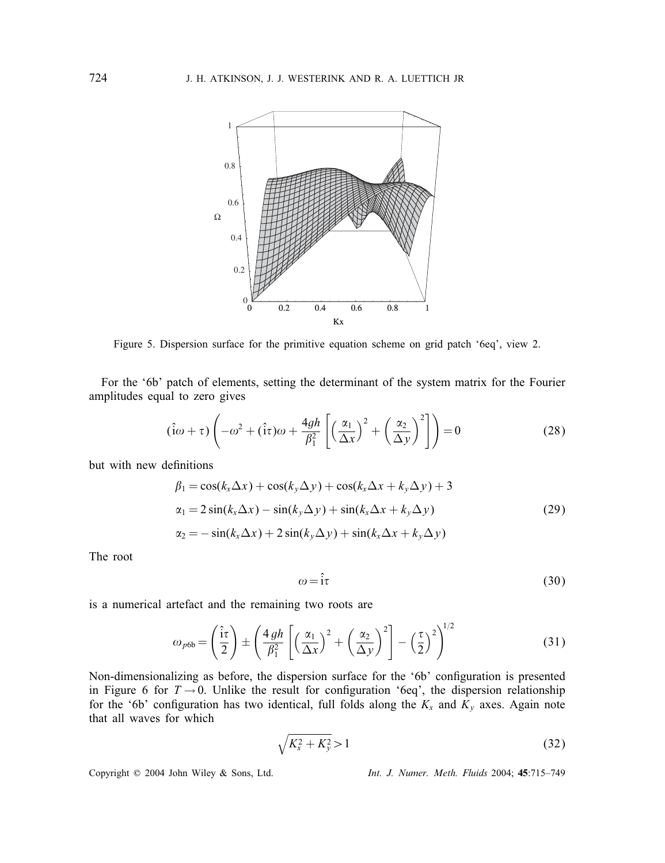

Figure 5. Dispersion surface for the primitive equation scheme on grid patch '6eq', view 2.

For the '6b' patch of elements, setting the determinant of the system matrix for the Fourier amplitudes equal to zero gives

$$
(\hat{i}\omega + \tau) \left( -\omega^2 + (\hat{i}\tau)\omega + \frac{4gh}{\beta_1^2} \left[ \left( \frac{\alpha_1}{\Delta x} \right)^2 + \left( \frac{\alpha_2}{\Delta y} \right)^2 \right] \right) = 0 \tag{28}
$$

but with new definitions

$$
\beta_1 = \cos(k_x \Delta x) + \cos(k_y \Delta y) + \cos(k_x \Delta x + k_y \Delta y) + 3
$$
  
\n
$$
\alpha_1 = 2 \sin(k_x \Delta x) - \sin(k_y \Delta y) + \sin(k_x \Delta x + k_y \Delta y)
$$
  
\n
$$
\alpha_2 = -\sin(k_x \Delta x) + 2 \sin(k_y \Delta y) + \sin(k_x \Delta x + k_y \Delta y)
$$
\n(29)

The root

$$
\omega = \hat{i}\tau \tag{30}
$$

is a numerical artefact and the remaining two roots are

$$
\omega_{p6b} = \left(\frac{\hat{i}\tau}{2}\right) \pm \left(\frac{4gh}{\beta_1^2} \left[\left(\frac{\alpha_1}{\Delta x}\right)^2 + \left(\frac{\alpha_2}{\Delta y}\right)^2\right] - \left(\frac{\tau}{2}\right)^2\right)^{1/2}
$$
(31)

Non-dimensionalizing as before, the dispersion surface for the '6b' configuration is presented in Figure 6 for  $T \to 0$ . Unlike the result for configuration '6eq', the dispersion relationship<br>for the '6b' configuration has two identical full folds along the K and K axes. Again note for the '6b' configuration has two identical, full folds along the  $K_x$  and  $K_y$  axes. Again note that all waves for which that all waves for which

$$
\sqrt{K_x^2 + K_y^2} > 1\tag{32}
$$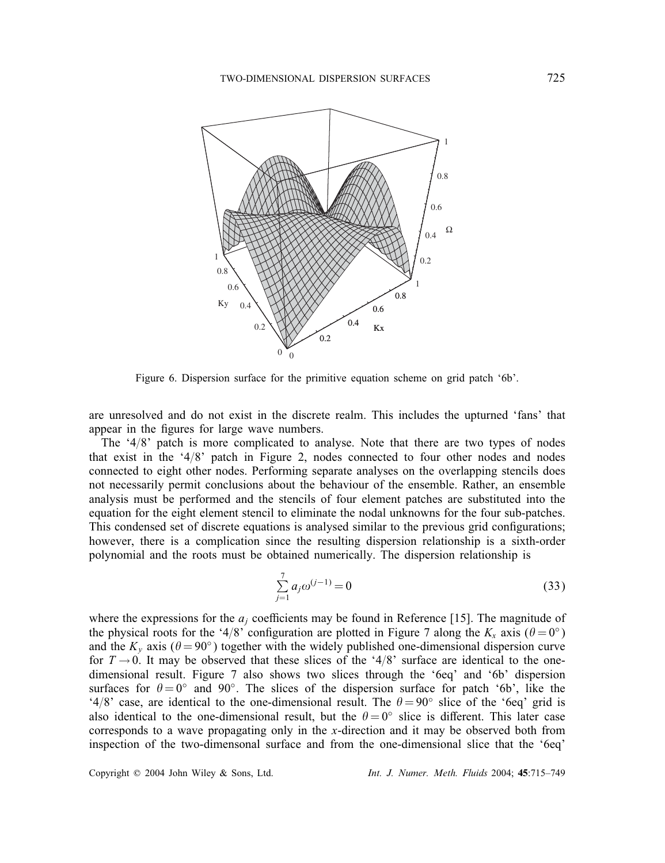

Figure 6. Dispersion surface for the primitive equation scheme on grid patch '6b'.

are unresolved and do not exist in the discrete realm. This includes the upturned 'fans' that appear in the figures for large wave numbers.

The  $4/8$ ' patch is more complicated to analyse. Note that there are two types of nodes that exist in the '4/8' patch in Figure 2, nodes connected to four other nodes and nodes connected to eight other nodes. Performing separate analyses on the overlapping stencils does not necessarily permit conclusions about the behaviour of the ensemble. Rather, an ensemble analysis must be performed and the stencils of four element patches are substituted into the equation for the eight element stencil to eliminate the nodal unknowns for the four sub-patches. This condensed set of discrete equations is analysed similar to the previous grid configurations; however, there is a complication since the resulting dispersion relationship is a sixth-order polynomial and the roots must be obtained numerically. The dispersion relationship is

$$
\sum_{j=1}^{7} a_j \omega^{(j-1)} = 0 \tag{33}
$$

where the expressions for the  $a_i$  coefficients may be found in Reference [15]. The magnitude of the physical roots for the '4/8' configuration are plotted in Figure 7 along the  $K_x$  axis ( $\theta = 0^\circ$ ) and the K axis ( $\theta = 90^\circ$ ) together with the widely published one-dimensional dispersion curve and the K<sub>y</sub> axis ( $\theta = 90^\circ$ ) together with the widely published one-dimensional dispersion curve for  $T \rightarrow 0$ . It may be observed that these slices of the '4/8' surface are identical to the onedimensional result. Figure 7 also shows two slices through the '6eq' and '6b' dispersion surfaces for  $\theta = 0^\circ$  and  $90^\circ$ . The slices of the dispersion surface for patch '6b', like the '4/8' case, are identical to the one-dimensional result. The  $\theta = 90^\circ$  slice of the '6eq' grid is also identical to the one-dimensional result, but the  $\theta = 0^\circ$  slice is different. This later case corresponds to a wave propagating only in the x-direction and it may be observed both from inspection of the two-dimensonal surface and from the one-dimensional slice that the '6eq'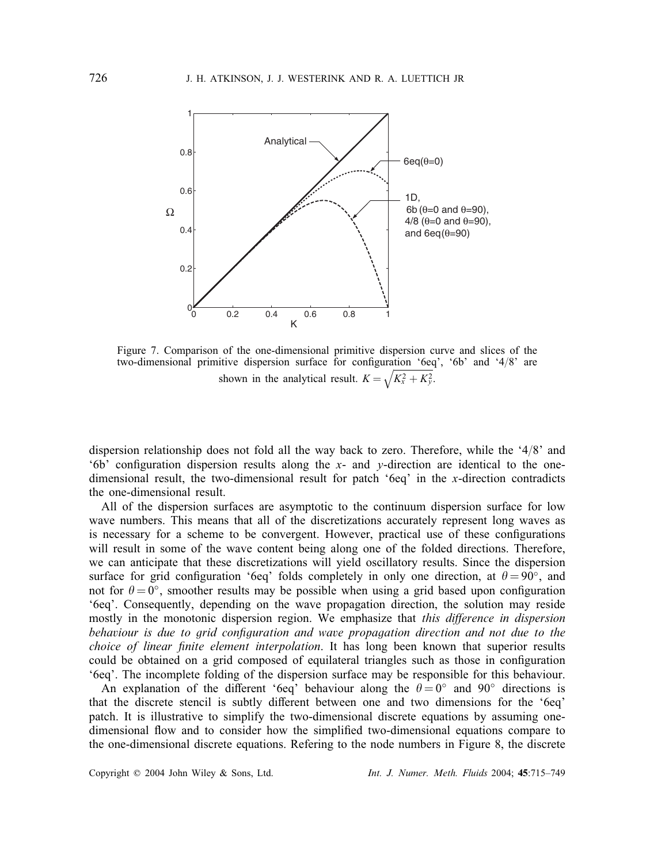

Figure 7. Comparison of the one-dimensional primitive dispersion curve and slices of the two-dimensional primitive dispersion surface for configuration '6eq', '6b' and '4/8' are shown in the analytical result.  $K = \sqrt{K_x^2 + K_y^2}$ .

dispersion relationship does not fold all the way back to zero. Therefore, while the  $4/8$ ' and '6b' configuration dispersion results along the x- and y-direction are identical to the one-<br>dimensional result, the two-dimensional result for patch '6eg' in the x-direction contradicts dimensional result, the two-dimensional result for patch '6eq' in the x-direction contradicts the one-dimensional result.

All of the dispersion surfaces are asymptotic to the continuum dispersion surface for low wave numbers. This means that all of the discretizations accurately represent long waves as is necessary for a scheme to be convergent. However, practical use of these configurations will result in some of the wave content being along one of the folded directions. Therefore, we can anticipate that these discretizations will yield oscillatory results. Since the dispersion surface for grid configuration '6eq' folds completely in only one direction, at  $\theta = 90^{\circ}$ , and not for  $\theta = 0^{\circ}$  smoother results may be possible when using a grid based upon configuration not for  $\theta = 0^{\circ}$ , smoother results may be possible when using a grid based upon configuration<br>'6eq'. Consequently, depending on the wave propagation direction, the solution may reside '6eq'. Consequently, depending on the wave propagation direction, the solution may reside mostly in the monotonic dispersion region. We emphasize that *this difference in dispersion* behaviour is due to grid configuration and wave propagation direction and not due to the *choice of linear finite element interpolation*. It has long been known that superior results could be obtained on a grid composed of equilateral triangles such as those in configuration '6eq'. The incomplete folding of the dispersion surface may be responsible for this behaviour.

An explanation of the different '6eq' behaviour along the  $\theta = 0$ ° and 90° directions is that the discrete stencil is subtly different between one and two dimensions for the '6eq' patch. It is illustrative to simplify the two-dimensional discrete equations by assuming onedimensional flow and to consider how the simplified two-dimensional equations compare to the one-dimensional discrete equations. Refering to the node numbers in Figure 8, the discrete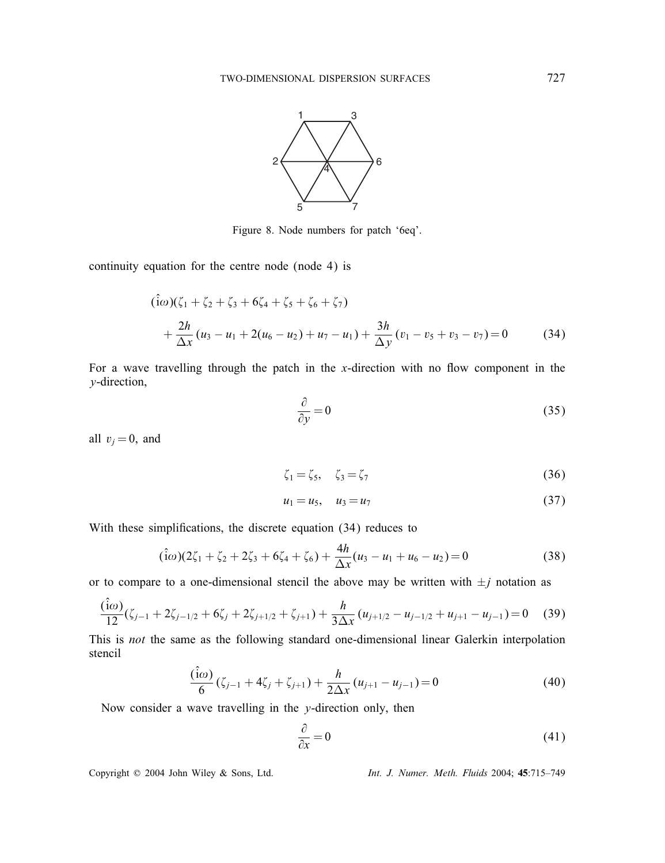

Figure 8. Node numbers for patch '6eq'.

continuity equation for the centre node (node 4) is

$$
(\hat{i}\omega)(\zeta_1 + \zeta_2 + \zeta_3 + 6\zeta_4 + \zeta_5 + \zeta_6 + \zeta_7) + \frac{2h}{\Delta x}(u_3 - u_1 + 2(u_6 - u_2) + u_7 - u_1) + \frac{3h}{\Delta y}(v_1 - v_5 + v_3 - v_7) = 0
$$
 (34)

For a wave travelling through the patch in the  $x$ -direction with no flow component in the y-direction,

$$
\frac{\partial}{\partial y} = 0 \tag{35}
$$

all  $v_i = 0$ , and

$$
\zeta_1 = \zeta_5, \quad \zeta_3 = \zeta_7 \tag{36}
$$

$$
u_1 = u_5, \quad u_3 = u_7 \tag{37}
$$

With these simplifications, the discrete equation (34) reduces to

$$
(\hat{i}\omega)(2\zeta_1 + \zeta_2 + 2\zeta_3 + 6\zeta_4 + \zeta_6) + \frac{4h}{\Delta x}(u_3 - u_1 + u_6 - u_2) = 0
$$
\n(38)

or to compare to a one-dimensional stencil the above may be written with  $\pm j$  notation as

$$
\frac{(\hat{i}\omega)}{12}(\zeta_{j-1} + 2\zeta_{j-1/2} + 6\zeta_j + 2\zeta_{j+1/2} + \zeta_{j+1}) + \frac{h}{3\Delta x}(u_{j+1/2} - u_{j-1/2} + u_{j+1} - u_{j-1}) = 0
$$
 (39)  
This is *not* the same as the following standard one-dimensional linear Galerkin interpolation

stencil

$$
\frac{(\hat{i}\omega)}{6}(\zeta_{j-1} + 4\zeta_j + \zeta_{j+1}) + \frac{h}{2\Delta x}(u_{j+1} - u_{j-1}) = 0
$$
\n(40)

Now consider a wave travelling in the y-direction only, then

$$
\frac{\partial}{\partial x} = 0 \tag{41}
$$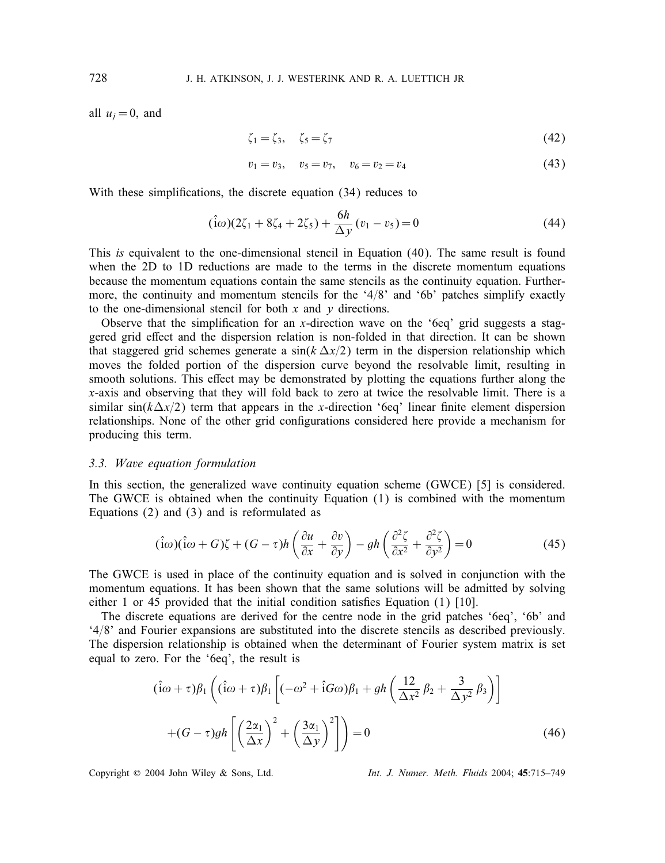all  $u_i = 0$ , and

$$
\zeta_1 = \zeta_3, \quad \zeta_5 = \zeta_7 \tag{42}
$$

$$
v_1 = v_3, \quad v_5 = v_7, \quad v_6 = v_2 = v_4 \tag{43}
$$

With these simplifications, the discrete equation (34) reduces to

$$
(\hat{i}\omega)(2\zeta_1 + 8\zeta_4 + 2\zeta_5) + \frac{6h}{\Delta y}(v_1 - v_5) = 0
$$
\n(44)

This *is* equivalent to the one-dimensional stencil in Equation (40). The same result is found when the 2D to 1D reductions are made to the terms in the discrete momentum equations because the momentum equations contain the same stencils as the continuity equation. Furthermore, the continuity and momentum stencils for the '4/8' and '6b' patches simplify exactly to the one-dimensional stencil for both  $x$  and  $y$  directions.

Observe that the simplification for an x-direction wave on the '6eq' grid suggests a stag-<br>red grid effect and the dispersion relation is non-folded in that direction. It can be shown gered grid effect and the dispersion relation is non-folded in that direction. It can be shown that staggered grid schemes generate a  $\sin(k \Delta x/2)$  term in the dispersion relationship which moves the folded portion of the dispersion curve beyond the resolvable limit, resulting in smooth solutions. This effect may be demonstrated by plotting the equations further along the x-axis and observing that they will fold back to zero at twice the resolvable limit. There is a similar  $sin(k\Delta x/2)$  term that appears in the x-direction '6eq' linear finite element dispersion<br>relationships. None of the other grid configurations considered here provide a mechanism for relationships. None of the other grid configurations considered here provide a mechanism for producing this term.

# *3.3. Wave equation formulation*

In this section, the generalized wave continuity equation scheme (GWCE) [5] is considered. The GWCE is obtained when the continuity Equation (1) is combined with the momentum Equations (2) and (3) and is reformulated as

$$
(\hat{i}\omega)(\hat{i}\omega + G)\zeta + (G - \tau)h\left(\frac{\partial u}{\partial x} + \frac{\partial v}{\partial y}\right) - gh\left(\frac{\partial^2 \zeta}{\partial x^2} + \frac{\partial^2 \zeta}{\partial y^2}\right) = 0
$$
\n(45)

The GWCE is used in place of the continuity equation and is solved in conjunction with the momentum equations. It has been shown that the same solutions will be admitted by solving either 1 or 45 provided that the initial condition satisfies Equation  $(1)$  [10].

The discrete equations are derived for the centre node in the grid patches '6eq', '6b' and  $4/8$  and Fourier expansions are substituted into the discrete stencils as described previously. The dispersion relationship is obtained when the determinant of Fourier system matrix is set equal to zero. For the '6eq', the result is

$$
(\hat{i}\omega + \tau)\beta_1 \left( (\hat{i}\omega + \tau)\beta_1 \left[ (-\omega^2 + \hat{i}G\omega)\beta_1 + gh \left( \frac{12}{\Delta x^2} \beta_2 + \frac{3}{\Delta y^2} \beta_3 \right) \right] + (G - \tau)gh \left[ \left( \frac{2\alpha_1}{\Delta x} \right)^2 + \left( \frac{3\alpha_1}{\Delta y} \right)^2 \right] \right) = 0
$$
\n(46)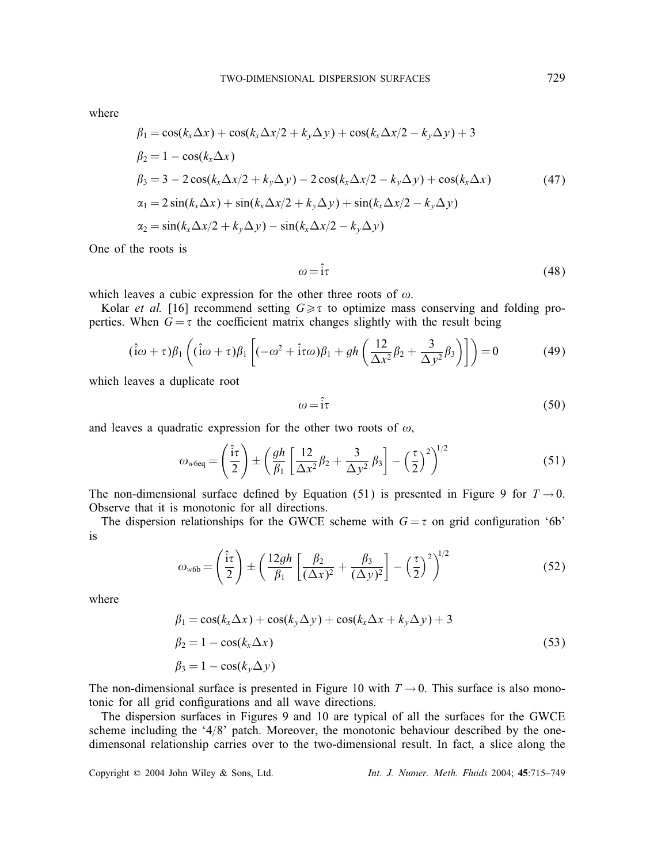where

$$
\beta_1 = \cos(k_x \Delta x) + \cos(k_x \Delta x/2 + k_y \Delta y) + \cos(k_x \Delta x/2 - k_y \Delta y) + 3
$$
  
\n
$$
\beta_2 = 1 - \cos(k_x \Delta x)
$$
  
\n
$$
\beta_3 = 3 - 2 \cos(k_x \Delta x/2 + k_y \Delta y) - 2 \cos(k_x \Delta x/2 - k_y \Delta y) + \cos(k_x \Delta x)
$$
  
\n
$$
\alpha_1 = 2 \sin(k_x \Delta x) + \sin(k_x \Delta x/2 + k_y \Delta y) + \sin(k_x \Delta x/2 - k_y \Delta y)
$$
  
\n
$$
\alpha_2 = \sin(k_x \Delta x/2 + k_y \Delta y) - \sin(k_x \Delta x/2 - k_y \Delta y)
$$
\n(47)

One of the roots is

$$
\omega = \hat{i}\tau \tag{48}
$$

which leaves a cubic expression for the other three roots of  $\omega$ .

Kolar *et al.* [16] recommend setting  $G \geq \tau$  to optimize mass conserving and folding pro-<br>tries. When  $G - \tau$  the coefficient matrix changes slightly with the result being perties. When  $G = \tau$  the coefficient matrix changes slightly with the result being

$$
(\hat{i}\omega + \tau)\beta_1 \left( (\hat{i}\omega + \tau)\beta_1 \left[ (-\omega^2 + \hat{i}\tau\omega)\beta_1 + gh \left( \frac{12}{\Delta x^2} \beta_2 + \frac{3}{\Delta y^2} \beta_3 \right) \right] \right) = 0 \tag{49}
$$

which leaves a duplicate root

$$
\omega = \hat{i}\tau \tag{50}
$$

and leaves a quadratic expression for the other two roots of  $\omega$ ,

$$
\omega_{\text{w6eq}} = \left(\frac{\hat{i}\tau}{2}\right) \pm \left(\frac{gh}{\beta_1} \left[\frac{12}{\Delta x^2} \beta_2 + \frac{3}{\Delta y^2} \beta_3\right] - \left(\frac{\tau}{2}\right)^2\right)^{1/2} \tag{51}
$$

The non-dimensional surface defined by Equation (51) is presented in Figure 9 for  $T \rightarrow 0$ .<br>Observe that it is monotonic for all directions Observe that it is monotonic for all directions.

The dispersion relationships for the GWCE scheme with  $G = \tau$  on grid configuration '6b' is

$$
\omega_{w6b} = \left(\frac{\hat{i}\tau}{2}\right) \pm \left(\frac{12gh}{\beta_1} \left[\frac{\beta_2}{(\Delta x)^2} + \frac{\beta_3}{(\Delta y)^2}\right] - \left(\frac{\tau}{2}\right)^2\right)^{1/2} \tag{52}
$$

where

$$
\beta_1 = \cos(k_x \Delta x) + \cos(k_y \Delta y) + \cos(k_x \Delta x + k_y \Delta y) + 3
$$
  
\n
$$
\beta_2 = 1 - \cos(k_x \Delta x)
$$
  
\n
$$
\beta_3 = 1 - \cos(k_y \Delta y)
$$
\n(53)

The non-dimensional surface is presented in Figure 10 with  $T \rightarrow 0$ . This surface is also monotonic for all grid configurations and all wave directions.

The dispersion surfaces in Figures 9 and 10 are typical of all the surfaces for the GWCE scheme including the '4/8' patch. Moreover, the monotonic behaviour described by the onedimensonal relationship carries over to the two-dimensional result. In fact, a slice along the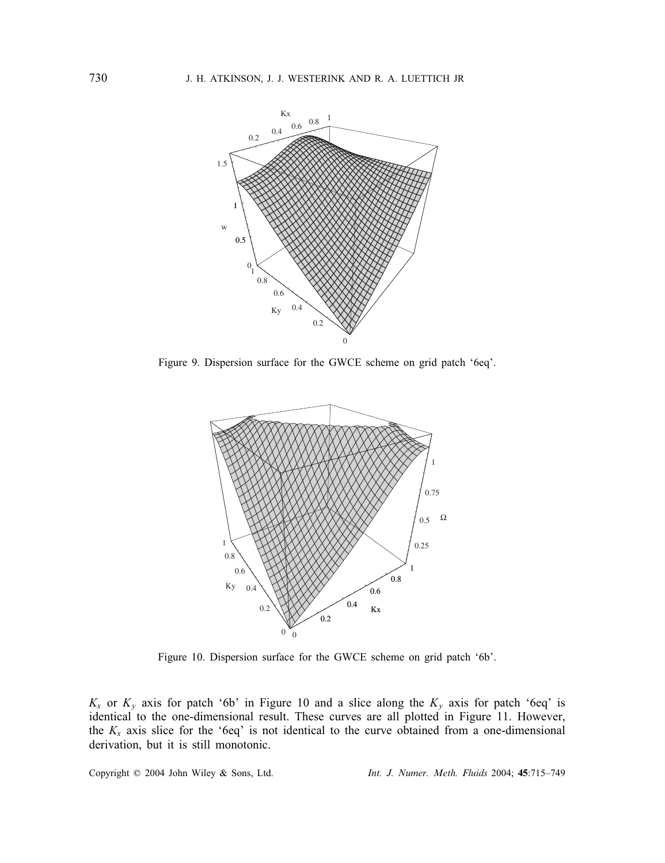

Figure 9. Dispersion surface for the GWCE scheme on grid patch '6eq'.



Figure 10. Dispersion surface for the GWCE scheme on grid patch '6b'.

 $K_x$  or  $K_y$  axis for patch '6b' in Figure 10 and a slice along the  $K_y$  axis for patch '6eq' is identical to the one-dimensional result. These curves are all plotted in Figure 11. However, the  $K_x$  axis slice for the '6eq' is not identical to the curve obtained from a one-dimensional derivation, but it is still monotonic.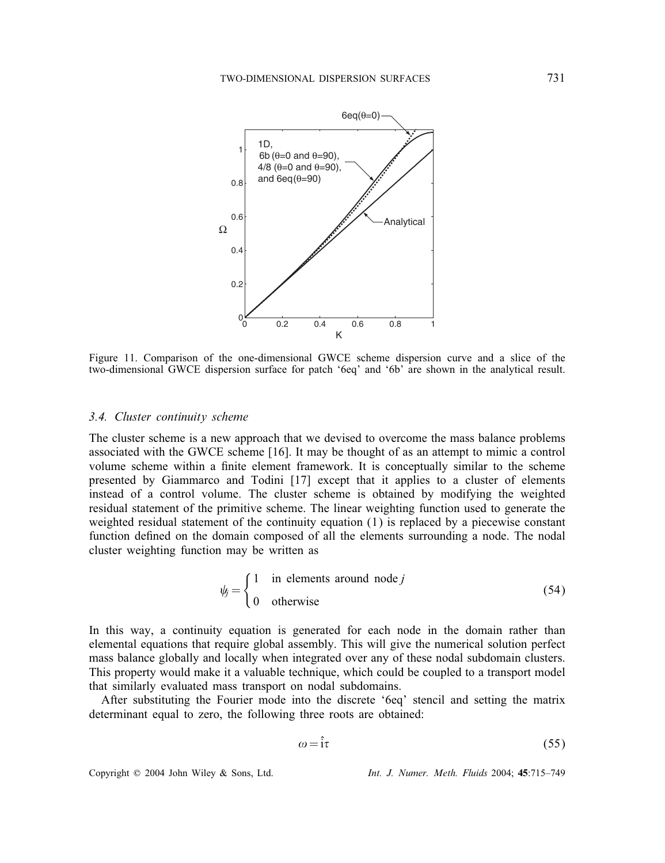

Figure 11. Comparison of the one-dimensional GWCE scheme dispersion curve and a slice of the two-dimensional GWCE dispersion surface for patch '6eq' and '6b' are shown in the analytical result.

# *3.4. Cluster continuity scheme*

The cluster scheme is a new approach that we devised to overcome the mass balance problems associated with the GWCE scheme [16]. It may be thought of as an attempt to mimic a control volume scheme within a finite element framework. It is conceptually similar to the scheme presented by Giammarco and Todini [17] except that it applies to a cluster of elements instead of a control volume. The cluster scheme is obtained by modifying the weighted residual statement of the primitive scheme. The linear weighting function used to generate the weighted residual statement of the continuity equation (1) is replaced by a piecewise constant function defined on the domain composed of all the elements surrounding a node. The nodal cluster weighting function may be written as

$$
\psi_j = \begin{cases} 1 & \text{in elements around node } j \\ 0 & \text{otherwise} \end{cases} \tag{54}
$$

In this way, a continuity equation is generated for each node in the domain rather than elemental equations that require global assembly. This will give the numerical solution perfect mass balance globally and locally when integrated over any of these nodal subdomain clusters. This property would make it a valuable technique, which could be coupled to a transport model that similarly evaluated mass transport on nodal subdomains.

After substituting the Fourier mode into the discrete '6eq' stencil and setting the matrix determinant equal to zero, the following three roots are obtained:

$$
\omega = \hat{i}\tau \tag{55}
$$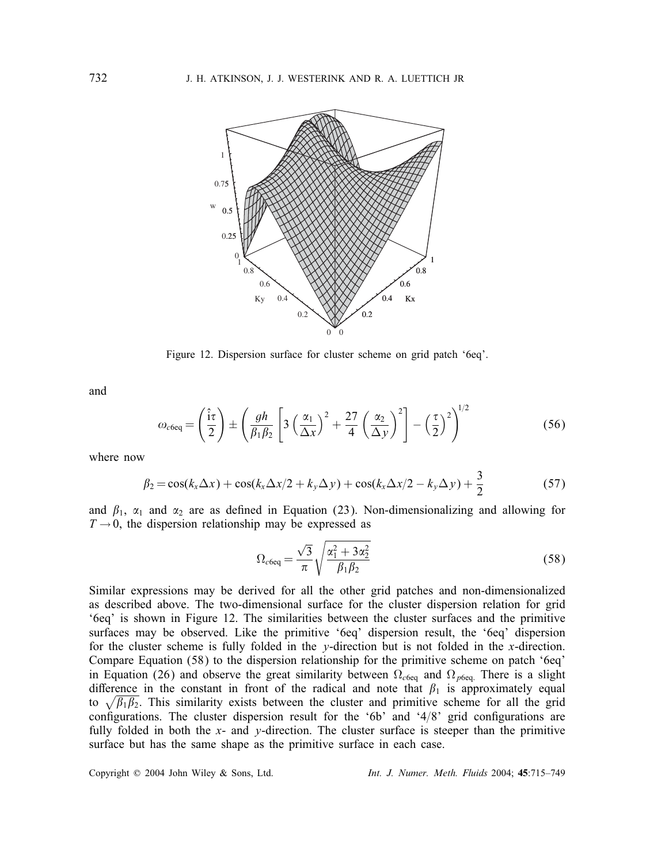

Figure 12. Dispersion surface for cluster scheme on grid patch '6eq'.

and

$$
\omega_{c6eq} = \left(\frac{\hat{i}\tau}{2}\right) \pm \left(\frac{gh}{\beta_1\beta_2} \left[3\left(\frac{\alpha_1}{\Delta x}\right)^2 + \frac{27}{4}\left(\frac{\alpha_2}{\Delta y}\right)^2\right] - \left(\frac{\tau}{2}\right)^2\right)^{1/2} \tag{56}
$$

where now

$$
\beta_2 = \cos(k_x \Delta x) + \cos(k_x \Delta x/2 + k_y \Delta y) + \cos(k_x \Delta x/2 - k_y \Delta y) + \frac{3}{2}
$$
\n(57)

and  $\beta_1$ ,  $\alpha_1$  and  $\alpha_2$  are as defined in Equation (23). Non-dimensionalizing and allowing for  $T \rightarrow 0$  the dispersion relationship may be expressed as  $T \rightarrow 0$ , the dispersion relationship may be expressed as

$$
\Omega_{c6eq} = \frac{\sqrt{3}}{\pi} \sqrt{\frac{\alpha_1^2 + 3\alpha_2^2}{\beta_1 \beta_2}}
$$
\n(58)

Similar expressions may be derived for all the other grid patches and non-dimensionalized as described above. The two-dimensional surface for the cluster dispersion relation for grid '6eq' is shown in Figure 12. The similarities between the cluster surfaces and the primitive surfaces may be observed. Like the primitive '6eq' dispersion result, the '6eq' dispersion for the cluster scheme is fully folded in the  $v$ -direction but is not folded in the x-direction. Compare Equation (58) to the dispersion relationship for the primitive scheme on patch '6eq' in Equation (26) and observe the great similarity between  $\Omega_{c6eq}$  and  $\Omega_{p6eq}$ . There is a slight difference in the constant in front of the radical and note that  $\beta_1$  is approximately equal to  $\sqrt{\beta_1 \beta_2}$ . This similarity exists between the cluster and primitive scheme for all the grid configurations. The cluster dispersion result for the '6b' and '4/8' grid configurations are<br>fully folded in both the  $x_2$  and v-direction. The cluster surface is steeper than the primitive fully folded in both the  $x$ - and  $y$ -direction. The cluster surface is steeper than the primitive surface but has the same shape as the primitive surface in each case.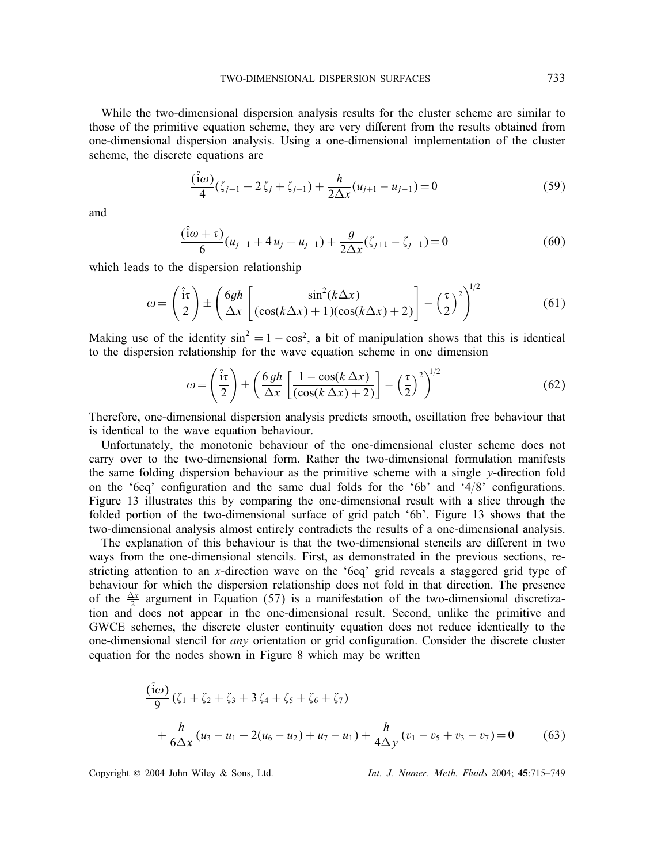While the two-dimensional dispersion analysis results for the cluster scheme are similar to those of the primitive equation scheme, they are very different from the results obtained from one-dimensional dispersion analysis. Using a one-dimensional implementation of the cluster scheme, the discrete equations are

$$
\frac{(\hat{i}\omega)}{4}(\zeta_{j-1} + 2\zeta_j + \zeta_{j+1}) + \frac{h}{2\Delta x}(u_{j+1} - u_{j-1}) = 0
$$
\n(59)

and

$$
\frac{(\hat{i}\omega + \tau)}{6}(u_{j-1} + 4u_j + u_{j+1}) + \frac{g}{2\Delta x}(\zeta_{j+1} - \zeta_{j-1}) = 0
$$
\n(60)

which leads to the dispersion relationship

$$
\omega = \left(\frac{\hat{i}\tau}{2}\right) \pm \left(\frac{6gh}{\Delta x} \left[ \frac{\sin^2(k\Delta x)}{(\cos(k\Delta x) + 1)(\cos(k\Delta x) + 2)} \right] - \left(\frac{\tau}{2}\right)^2\right)^{1/2}
$$
(61)

Making use of the identity  $sin^2 = 1 - cos^2$ , a bit of manipulation shows that this is identical to the dispersion relationship for the wave equation scheme in one dimension

$$
\omega = \left(\frac{\hat{i}\tau}{2}\right) \pm \left(\frac{6gh}{\Delta x} \left[\frac{1 - \cos(k\,\Delta x)}{(\cos(k\,\Delta x) + 2)}\right] - \left(\frac{\tau}{2}\right)^2\right)^{1/2} \tag{62}
$$

Therefore, one-dimensional dispersion analysis predicts smooth, oscillation free behaviour that is identical to the wave equation behaviour.

Unfortunately, the monotonic behaviour of the one-dimensional cluster scheme does not carry over to the two-dimensional form. Rather the two-dimensional formulation manifests the same folding dispersion behaviour as the primitive scheme with a single  $\nu$ -direction fold on the '6eq' configuration and the same dual folds for the '6b' and '4/8' configurations.<br>Figure 13 illustrates this by comparing the one-dimensional result with a slice through the Figure 13 illustrates this by comparing the one-dimensional result with a slice through the folded portion of the two-dimensional surface of grid patch '6b'. Figure 13 shows that the two-dimensional analysis almost entirely contradicts the results of a one-dimensional analysis.

The explanation of this behaviour is that the two-dimensional stencils are different in two ways from the one-dimensional stencils. First, as demonstrated in the previous sections, restricting attention to an x-direction wave on the '6eq' grid reveals a staggered grid type of behaviour for which the dispersion relationship does not fold in that direction. The presence of the  $\frac{\Delta x}{2}$  argument in Equation (57) is a manifestation of the two-dimensional discretization and does not appear in the one-dimensional result. Second, unlike the primitive and GWCE schemes, the discrete cluster continuity equation does not reduce identically to the one-dimensional stencil for *any* orientation or grid configuration. Consider the discrete cluster equation for the nodes shown in Figure 8 which may be written

$$
\frac{(\hat{i}\omega)}{9}(\zeta_1 + \zeta_2 + \zeta_3 + 3\zeta_4 + \zeta_5 + \zeta_6 + \zeta_7) \n+ \frac{h}{6\Delta x}(u_3 - u_1 + 2(u_6 - u_2) + u_7 - u_1) + \frac{h}{4\Delta y}(v_1 - v_5 + v_3 - v_7) = 0
$$
\n(63)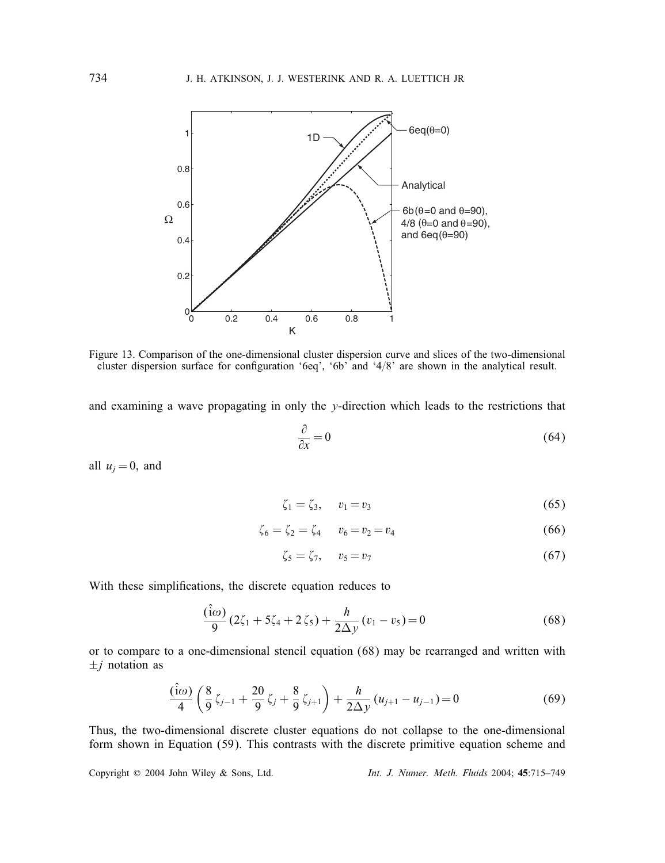

Figure 13. Comparison of the one-dimensional cluster dispersion curve and slices of the two-dimensional cluster dispersion surface for configuration '6eq', '6b' and '4/8' are shown in the analytical result.

and examining a wave propagating in only the  $y$ -direction which leads to the restrictions that

$$
\frac{\partial}{\partial x} = 0 \tag{64}
$$

all  $u_i = 0$ , and

$$
\zeta_1 = \zeta_3, \quad v_1 = v_3 \tag{65}
$$

$$
\zeta_6 = \zeta_2 = \zeta_4 \qquad v_6 = v_2 = v_4 \tag{66}
$$

$$
\zeta_5 = \zeta_7, \quad v_5 = v_7 \tag{67}
$$

With these simplifications, the discrete equation reduces to

$$
\frac{(\hat{i}\omega)}{9}(2\zeta_1 + 5\zeta_4 + 2\zeta_5) + \frac{h}{2\Delta y}(v_1 - v_5) = 0
$$
\n(68)

or to compare to a one-dimensional stencil equation (68) may be rearranged and written with  $\pm j$  notation as

$$
\frac{(\hat{i}\omega)}{4}\left(\frac{8}{9}\zeta_{j-1}+\frac{20}{9}\zeta_j+\frac{8}{9}\zeta_{j+1}\right)+\frac{h}{2\Delta y}(u_{j+1}-u_{j-1})=0
$$
\n(69)

Thus, the two-dimensional discrete cluster equations do not collapse to the one-dimensional form shown in Equation (59). This contrasts with the discrete primitive equation scheme and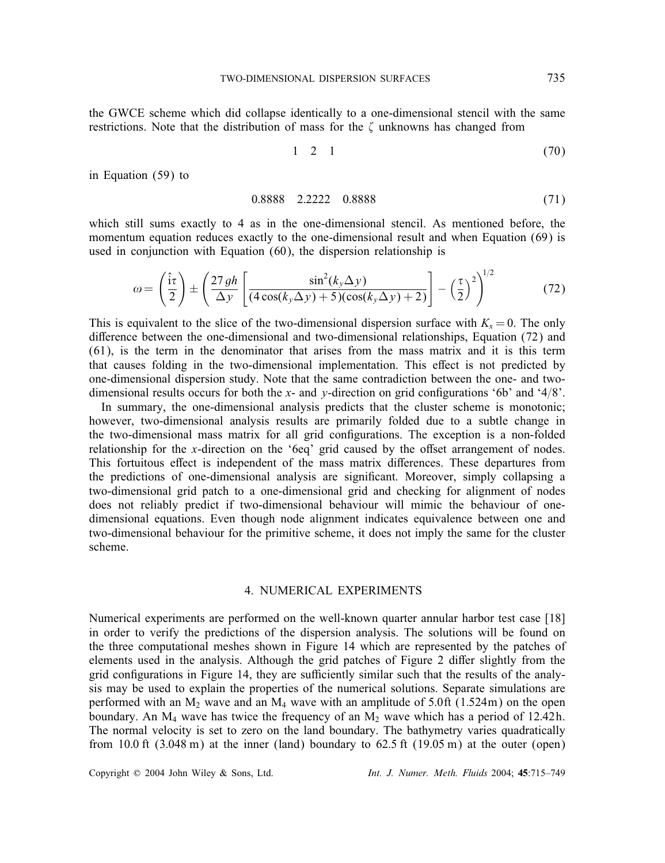the GWCE scheme which did collapse identically to a one-dimensional stencil with the same restrictions. Note that the distribution of mass for the  $\zeta$  unknowns has changed from

$$
1 \quad 2 \quad 1 \tag{70}
$$

in Equation (59) to

$$
0.8888 \quad 2.2222 \quad 0.8888 \tag{71}
$$

which still sums exactly to 4 as in the one-dimensional stencil. As mentioned before, the momentum equation reduces exactly to the one-dimensional result and when Equation (69) is used in conjunction with Equation (60), the dispersion relationship is

$$
\omega = \left(\frac{\hat{i}\tau}{2}\right) \pm \left(\frac{27gh}{\Delta y}\left[\frac{\sin^2(k_y\Delta y)}{(4\cos(k_y\Delta y) + 5)(\cos(k_y\Delta y) + 2)}\right] - \left(\frac{\tau}{2}\right)^2\right)^{1/2}
$$
(72)

This is equivalent to the slice of the two-dimensional dispersion surface with  $K<sub>x</sub> = 0$ . The only difference between the one-dimensional and two-dimensional relationships, Equation  $(72)$  and (61), is the term in the denominator that arises from the mass matrix and it is this term that causes folding in the two-dimensional implementation. This effect is not predicted by one-dimensional dispersion study. Note that the same contradiction between the one- and twodimensional results occurs for both the x- and y-direction on grid configurations '6b' and '4/8'.<br>In summary, the one-dimensional analysis predicts that the cluster scheme is monotonic:

In summary, the one-dimensional analysis predicts that the cluster scheme is monotonic; however, two-dimensional analysis results are primarily folded due to a subtle change in the two-dimensional mass matrix for all grid configurations. The exception is a non-folded relationship for the x-direction on the '6eq' grid caused by the offset arrangement of nodes. This fortuitous effect is independent of the mass matrix differences. These departures from the predictions of one-dimensional analysis are significant. Moreover, simply collapsing a two-dimensional grid patch to a one-dimensional grid and checking for alignment of nodes does not reliably predict if two-dimensional behaviour will mimic the behaviour of onedimensional equations. Even though node alignment indicates equivalence between one and two-dimensional behaviour for the primitive scheme, it does not imply the same for the cluster scheme.

# 4. NUMERICAL EXPERIMENTS

Numerical experiments are performed on the well-known quarter annular harbor test case [18] in order to verify the predictions of the dispersion analysis. The solutions will be found on the three computational meshes shown in Figure 14 which are represented by the patches of elements used in the analysis. Although the grid patches of Figure 2 differ slightly from the grid configurations in Figure 14, they are sufficiently similar such that the results of the analysis may be used to explain the properties of the numerical solutions. Separate simulations are performed with an  $M_2$  wave and an  $M_4$  wave with an amplitude of 5.0ft (1.524m) on the open boundary. An  $M_4$  wave has twice the frequency of an  $M_2$  wave which has a period of 12.42h. The normal velocity is set to zero on the land boundary. The bathymetry varies quadratically from 10.0 ft  $(3.048 \text{ m})$  at the inner (land) boundary to  $62.5 \text{ ft}$   $(19.05 \text{ m})$  at the outer (open)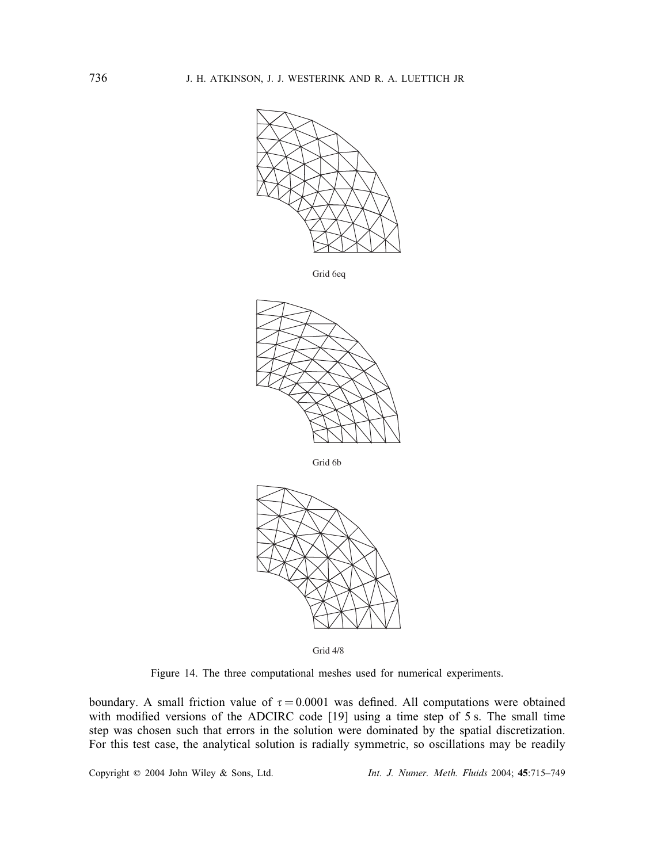

Grid 6eq



Grid 6b



Grid 4/8

Figure 14. The three computational meshes used for numerical experiments.

boundary. A small friction value of  $\tau = 0.0001$  was defined. All computations were obtained with modified versions of the ADCIRC code [19] using a time step of 5.5. The small time with modified versions of the ADCIRC code  $[19]$  using a time step of 5 s. The small time step was chosen such that errors in the solution were dominated by the spatial discretization. For this test case, the analytical solution is radially symmetric, so oscillations may be readily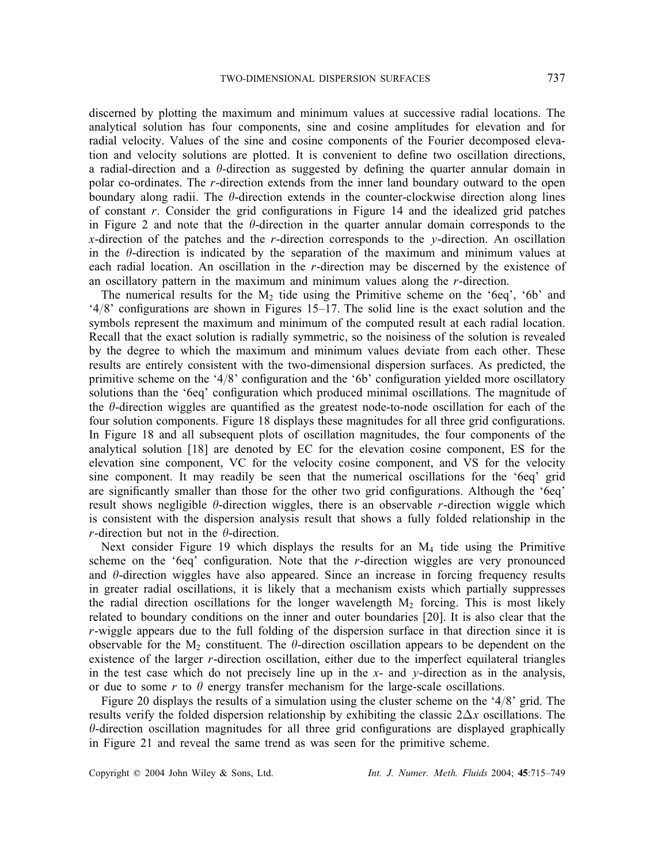discerned by plotting the maximum and minimum values at successive radial locations. The analytical solution has four components, sine and cosine amplitudes for elevation and for radial velocity. Values of the sine and cosine components of the Fourier decomposed elevation and velocity solutions are plotted. It is convenient to define two oscillation directions, a radial-direction and a  $\theta$ -direction as suggested by defining the quarter annular domain in<br>polar co-ordinates. The r-direction extends from the inner land boundary outward to the open polar co-ordinates. The r-direction extends from the inner land boundary outward to the open boundary along radii. The  $\theta$ -direction extends in the counter-clockwise direction along lines of constant r. Consider the grid configurations in Figure 14 and the idealized grid patches<br>in Figure 2 and note that the *ft*-direction in the quarter annular domain corresponds to the in Figure 2 and note that the  $\theta$ -direction in the quarter annular domain corresponds to the x-direction of the patches and the r-direction corresponds to the y-direction. An oscillation in the  $\theta$ -direction is indicated by the separation of the maximum and minimum values at each radial location. An oscillation in the r-direction may be discerned by the existence of an oscillatory pattern in the maximum and minimum values along the r-direction.

The numerical results for the  $M<sub>2</sub>$  tide using the Primitive scheme on the '6eq', '6b' and  $^{4}/8$ ' configurations are shown in Figures 15–17. The solid line is the exact solution and the symbols represent the maximum and minimum of the computed result at each radial location symbols represent the maximum and minimum of the computed result at each radial location. Recall that the exact solution is radially symmetric, so the noisiness of the solution is revealed by the degree to which the maximum and minimum values deviate from each other. These results are entirely consistent with the two-dimensional dispersion surfaces. As predicted, the primitive scheme on the '4/8' configuration and the '6b' configuration yielded more oscillatory<br>solutions than the '6eg' configuration which produced minimal oscillations. The magnitude of solutions than the '6eq' configuration which produced minimal oscillations. The magnitude of the  $\theta$ -direction wiggles are quantified as the greatest node-to-node oscillation for each of the four solution components. Figure 18 displays these magnitudes for all three grid configurations four solution components. Figure 18 displays these magnitudes for all three grid configurations. In Figure 18 and all subsequent plots of oscillation magnitudes, the four components of the analytical solution [18] are denoted by EC for the elevation cosine component, ES for the elevation sine component, VC for the velocity cosine component, and VS for the velocity sine component. It may readily be seen that the numerical oscillations for the '6eq' grid are significantly smaller than those for the other two grid configurations. Although the '6eq' result shows negligible  $\theta$ -direction wiggles, there is an observable r-direction wiggle which is consistent with the dispersion analysis result that shows a fully folded relationship in the r-direction but not in the  $\theta$ -direction.

Next consider Figure 19 which displays the results for an  $M<sub>4</sub>$  tide using the Primitive scheme on the '6eq' configuration. Note that the r-direction wiggles are very pronounced<br>and  $\theta$ -direction wiggles have also appeared. Since an increase in forcing frequency results and  $\theta$ -direction wiggles have also appeared. Since an increase in forcing frequency results in greater radial oscillations, it is likely that a mechanism exists which partially suppresses the radial direction oscillations for the longer wavelength  $M_2$  forcing. This is most likely related to boundary conditions on the inner and outer boundaries [20]. It is also clear that the r-wiggle appears due to the full folding of the dispersion surface in that direction since it is observable for the  $M_2$  constituent. The  $\theta$ -direction oscillation appears to be dependent on the existence of the larger  $r$ -direction oscillation, either due to the imperfect equilateral triangles in the test case which do not precisely line up in the  $x$ - and  $y$ -direction as in the analysis, or due to some r to  $\theta$  energy transfer mechanism for the large-scale oscillations.

Figure 20 displays the results of a simulation using the cluster scheme on the  $4/8$  grid. The results verify the folded dispersion relationship by exhibiting the classic  $2\Delta x$  oscillations. The  $\theta$ -direction oscillation magnitudes for all three grid configurations are displayed graphically<br>in Figure 21 and reveal the same trend as was seen for the primitive scheme in Figure 21 and reveal the same trend as was seen for the primitive scheme.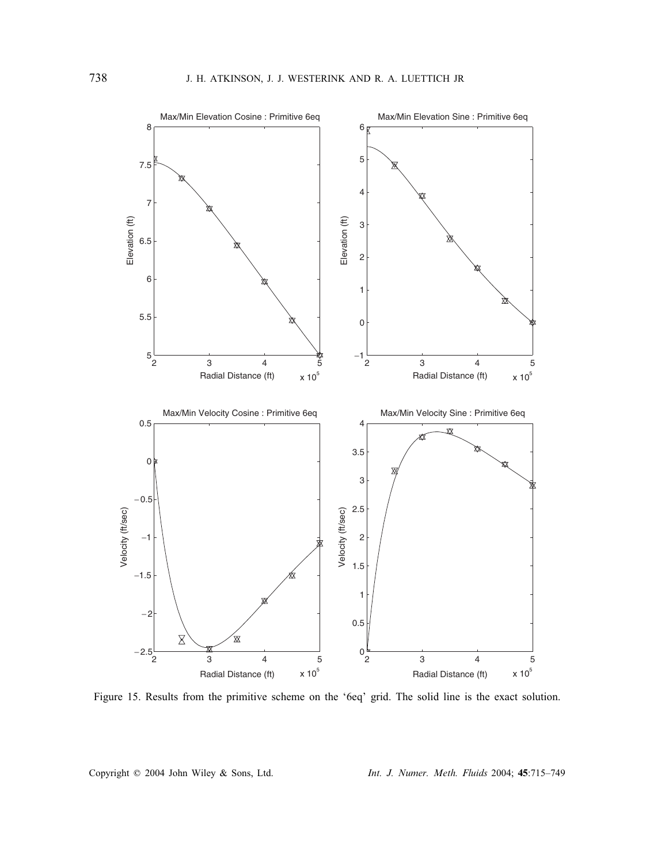

Figure 15. Results from the primitive scheme on the '6eq' grid. The solid line is the exact solution.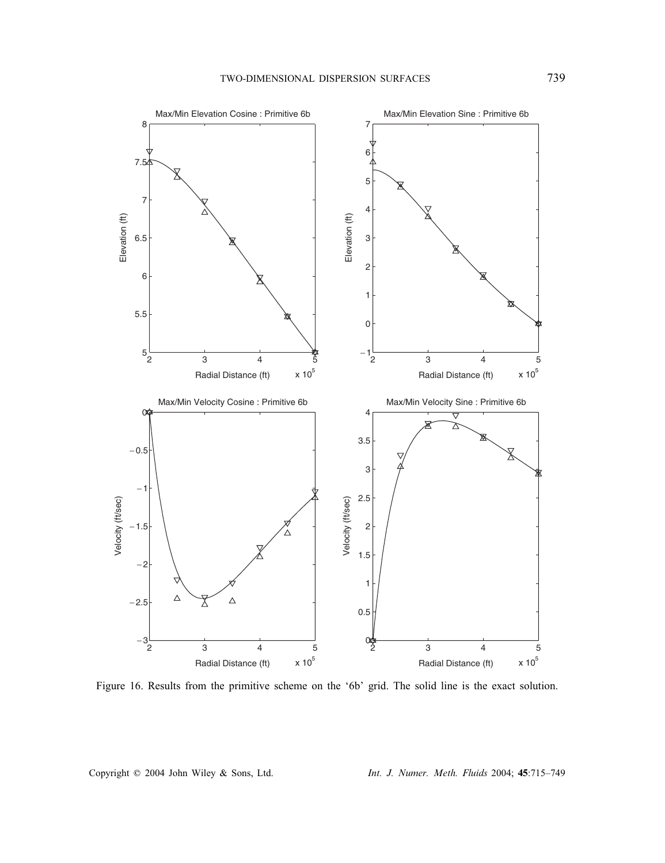

Figure 16. Results from the primitive scheme on the '6b' grid. The solid line is the exact solution.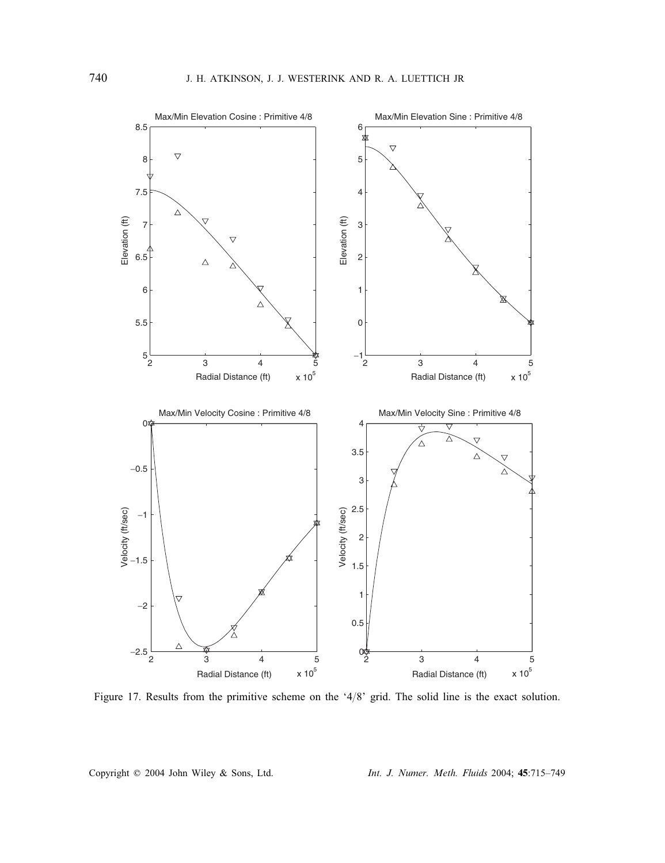

Figure 17. Results from the primitive scheme on the '4/8' grid. The solid line is the exact solution.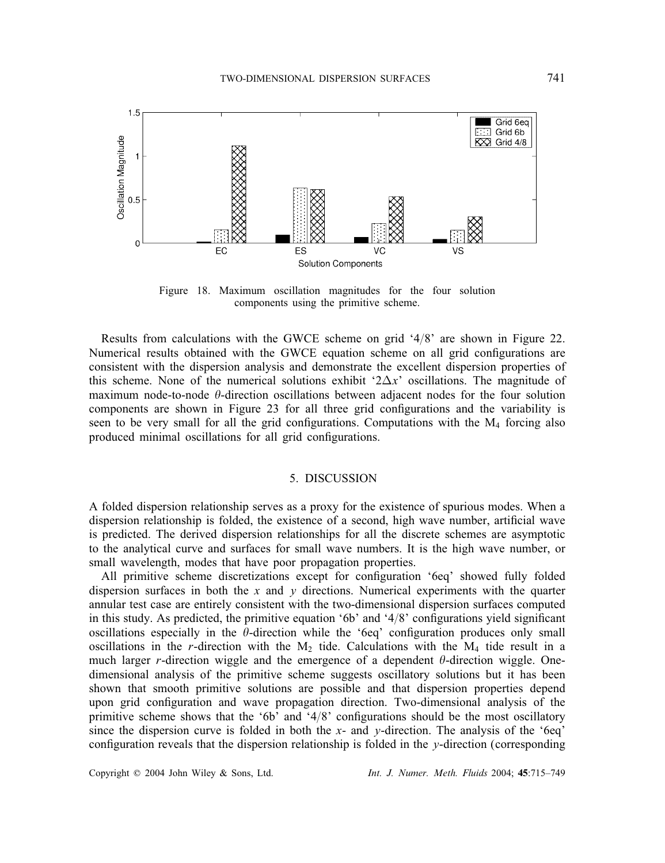

Figure 18. Maximum oscillation magnitudes for the four solution components using the primitive scheme.

Results from calculations with the GWCE scheme on grid  $4/8$  are shown in Figure 22. Numerical results obtained with the GWCE equation scheme on all grid configurations are consistent with the dispersion analysis and demonstrate the excellent dispersion properties of this scheme. None of the numerical solutions exhibit ' $2\Delta x$ ' oscillations. The magnitude of maximum node-to-node  $\theta$ -direction oscillations between adjacent nodes for the four solution components are shown in Figure 23 for all three grid configurations and the variability is seen to be very small for all the grid configurations. Computations with the  $M_4$  forcing also produced minimal oscillations for all grid configurations.

## 5. DISCUSSION

A folded dispersion relationship serves as a proxy for the existence of spurious modes. When a dispersion relationship is folded, the existence of a second, high wave number, artificial wave is predicted. The derived dispersion relationships for all the discrete schemes are asymptotic to the analytical curve and surfaces for small wave numbers. It is the high wave number, or small wavelength, modes that have poor propagation properties.

All primitive scheme discretizations except for configuration '6eq' showed fully folded dispersion surfaces in both the  $x$  and  $y$  directions. Numerical experiments with the quarter annular test case are entirely consistent with the two-dimensional dispersion surfaces computed in this study. As predicted, the primitive equation '6b' and '4/8' configurations yield significant<br>oscillations especially in the *f*ledirection while the '6eq' configuration produces only small oscillations especially in the  $\theta$ -direction while the '6eq' configuration produces only small<br>oscillations in the r-direction with the M<sub>a</sub> tide. Calculations with the M<sub>a</sub> tide result in a oscillations in the r-direction with the  $M_2$  tide. Calculations with the  $M_4$  tide result in a much larger r-direction wiggle and the emergence of a dependent  $\theta$ -direction wiggle. Onedimensional analysis of the primitive scheme suggests oscillatory solutions but it has been shown that smooth primitive solutions are possible and that dispersion properties depend upon grid configuration and wave propagation direction. Two-dimensional analysis of the primitive scheme shows that the '6b' and '4/8' configurations should be the most oscillatory<br>since the dispersion curve is folded in both the x- and v-direction. The analysis of the '6eq' since the dispersion curve is folded in both the x- and y-direction. The analysis of the '6eq' configuration reveals that the dispersion relationship is folded in the  $y$ -direction (corresponding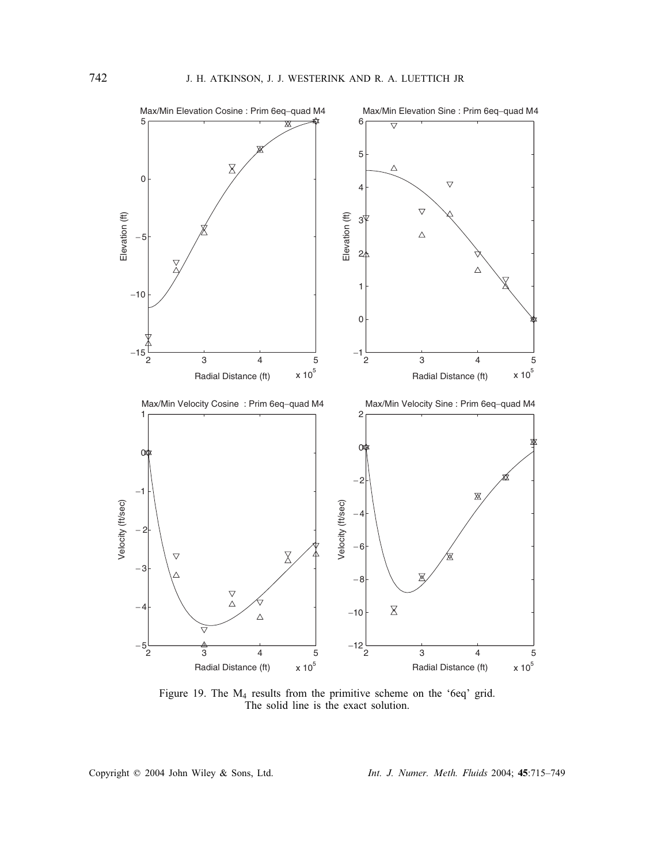

Figure 19. The M4 results from the primitive scheme on the '6eq' grid. The solid line is the exact solution.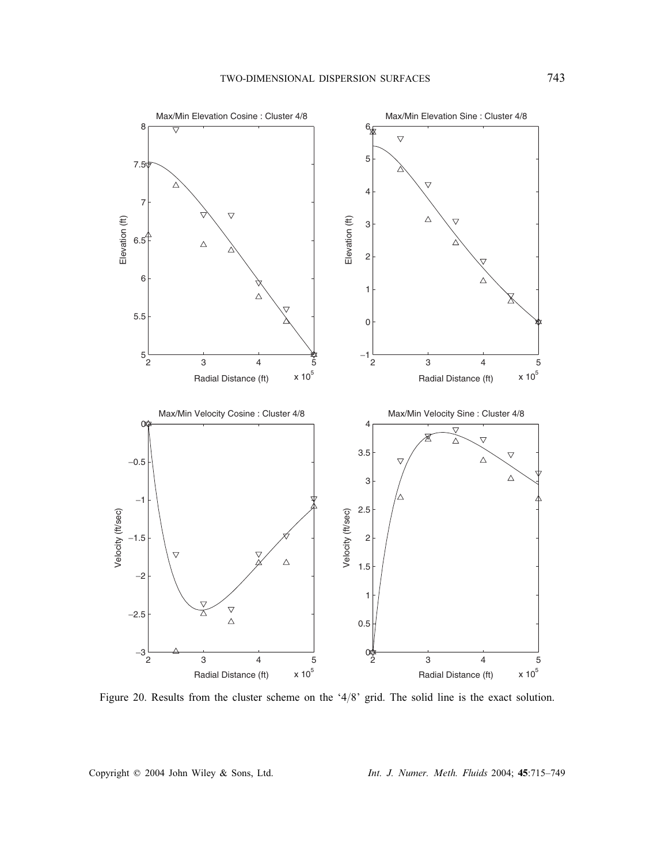

Figure 20. Results from the cluster scheme on the '4/8' grid. The solid line is the exact solution.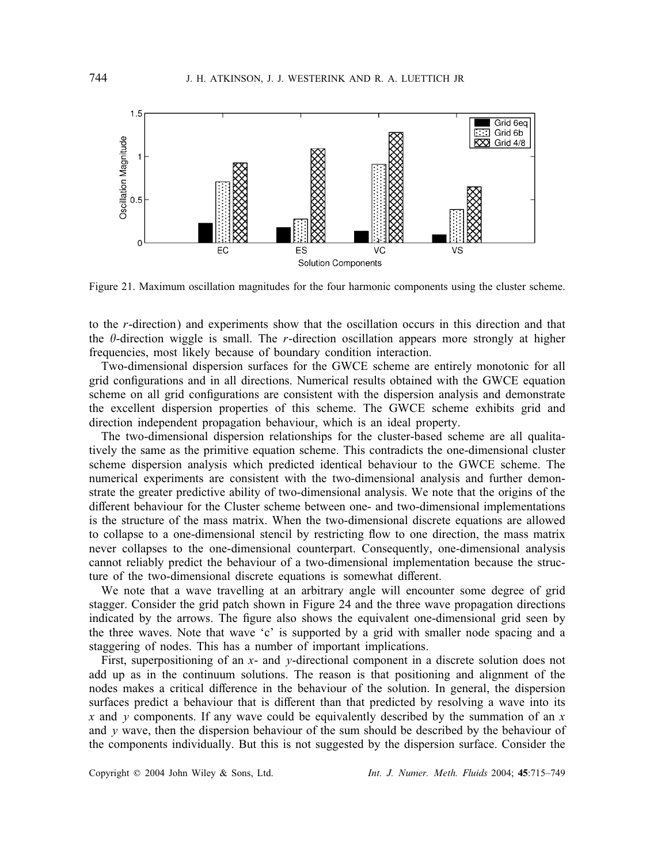

Figure 21. Maximum oscillation magnitudes for the four harmonic components using the cluster scheme.

to the r-direction) and experiments show that the oscillation occurs in this direction and that the  $\theta$ -direction wiggle is small. The r-direction oscillation appears more strongly at higher frequencies, most likely because of boundary condition interaction.

Two-dimensional dispersion surfaces for the GWCE scheme are entirely monotonic for all grid configurations and in all directions. Numerical results obtained with the GWCE equation scheme on all grid configurations are consistent with the dispersion analysis and demonstrate the excellent dispersion properties of this scheme. The GWCE scheme exhibits grid and direction independent propagation behaviour, which is an ideal property.

The two-dimensional dispersion relationships for the cluster-based scheme are all qualitatively the same as the primitive equation scheme. This contradicts the one-dimensional cluster scheme dispersion analysis which predicted identical behaviour to the GWCE scheme. The numerical experiments are consistent with the two-dimensional analysis and further demonstrate the greater predictive ability of two-dimensional analysis. We note that the origins of the different behaviour for the Cluster scheme between one- and two-dimensional implementations is the structure of the mass matrix. When the two-dimensional discrete equations are allowed to collapse to a one-dimensional stencil by restricting flow to one direction, the mass matrix never collapses to the one-dimensional counterpart. Consequently, one-dimensional analysis cannot reliably predict the behaviour of a two-dimensional implementation because the structure of the two-dimensional discrete equations is somewhat different.

We note that a wave travelling at an arbitrary angle will encounter some degree of grid stagger. Consider the grid patch shown in Figure 24 and the three wave propagation directions indicated by the arrows. The figure also shows the equivalent one-dimensional grid seen by the three waves. Note that wave 'c' is supported by a grid with smaller node spacing and a staggering of nodes. This has a number of important implications.

First, superpositioning of an x- and y-directional component in a discrete solution does not add up as in the continuum solutions. The reason is that positioning and alignment of the nodes makes a critical difference in the behaviour of the solution. In general, the dispersion surfaces predict a behaviour that is different than that predicted by resolving a wave into its x and y components. If any wave could be equivalently described by the summation of an x and  $\nu$  wave, then the dispersion behaviour of the sum should be described by the behaviour of the components individually. But this is not suggested by the dispersion surface. Consider the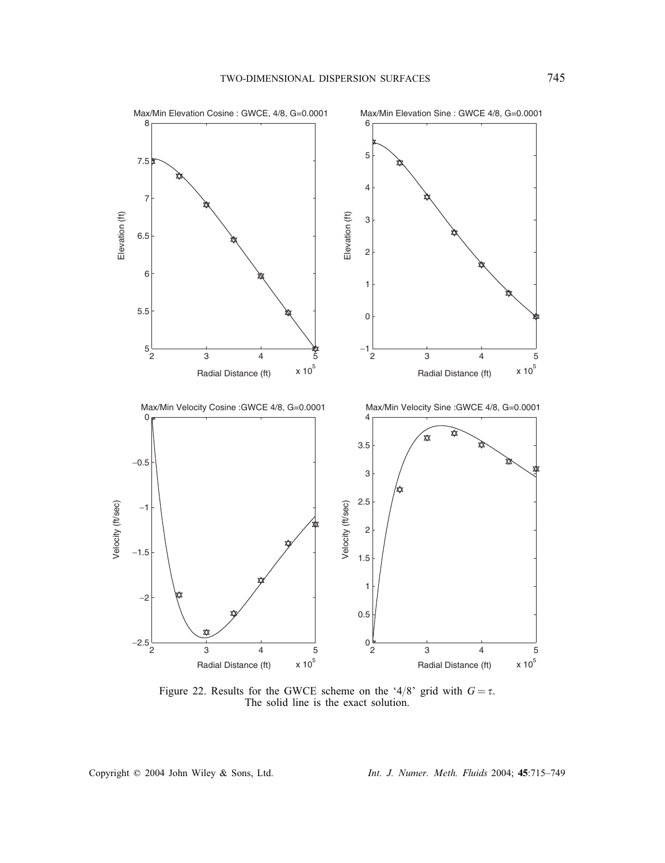

Figure 22. Results for the GWCE scheme on the '4/8' grid with  $G = \tau$ .<br>The solid line is the exact solution. The solid line is the exact solution.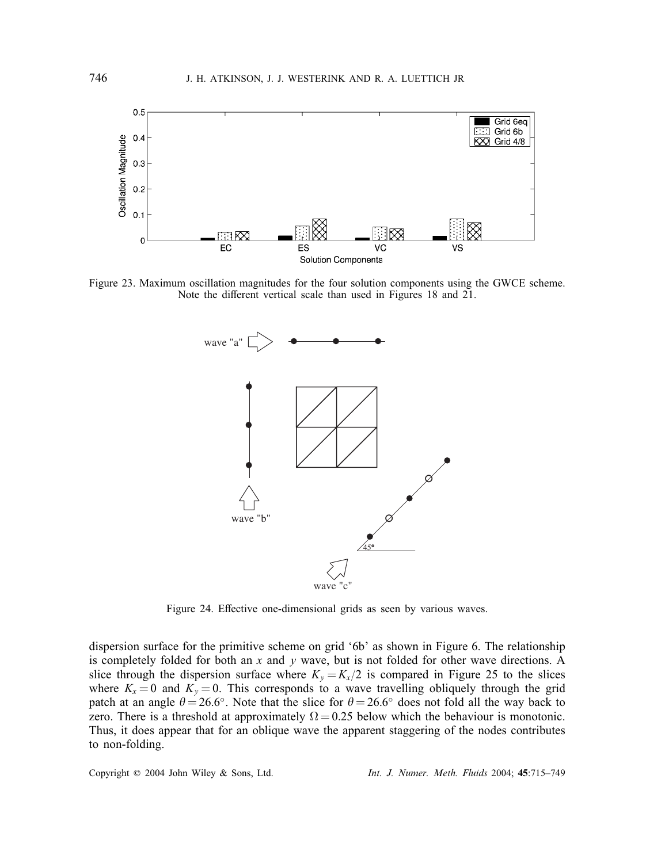

Figure 23. Maximum oscillation magnitudes for the four solution components using the GWCE scheme. Note the different vertical scale than used in Figures 18 and 21.



Figure 24. Effective one-dimensional grids as seen by various waves.

dispersion surface for the primitive scheme on grid '6b' as shown in Figure 6. The relationship is completely folded for both an  $x$  and  $y$  wave, but is not folded for other wave directions. A slice through the dispersion surface where  $K_y = K_x/2$  is compared in Figure 25 to the slices where  $K_x = 0$  and  $K_y = 0$ . This corresponds to a wave travelling obliquely through the grid patch at an angle  $\theta = 26.6°$ . Note that the slice for  $\theta = 26.6°$  does not fold all the way back to zero. There is a threshold at approximately  $\Omega = 0.25$  below which the behaviour is monotonic. Thus, it does appear that for an oblique wave the apparent staggering of the nodes contributes to non-folding.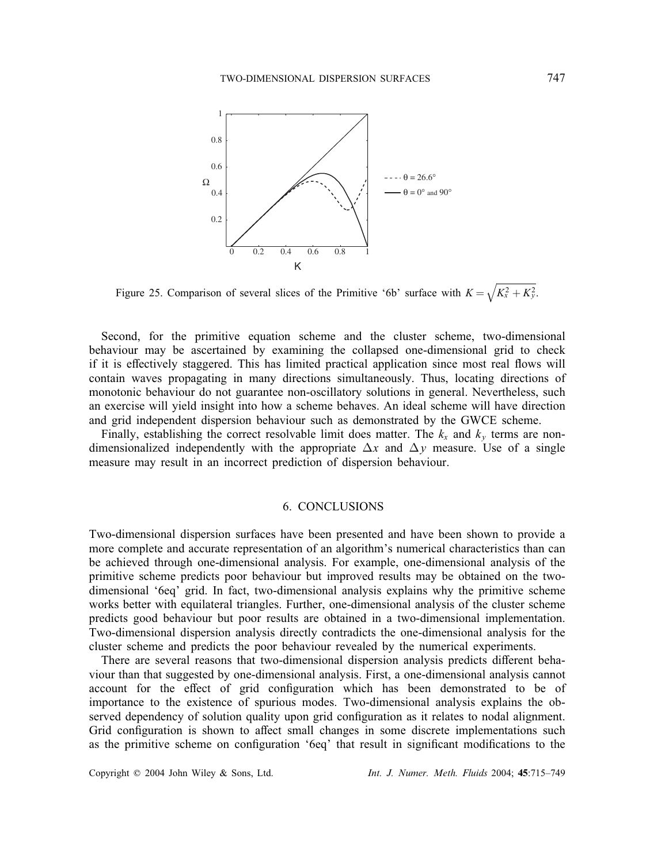

Figure 25. Comparison of several slices of the Primitive '6b' surface with  $K = \sqrt{K_x^2 + K_y^2}$ .

Second, for the primitive equation scheme and the cluster scheme, two-dimensional behaviour may be ascertained by examining the collapsed one-dimensional grid to check if it is effectively staggered. This has limited practical application since most real flows will contain waves propagating in many directions simultaneously. Thus, locating directions of monotonic behaviour do not guarantee non-oscillatory solutions in general. Nevertheless, such an exercise will yield insight into how a scheme behaves. An ideal scheme will have direction and grid independent dispersion behaviour such as demonstrated by the GWCE scheme.

Finally, establishing the correct resolvable limit does matter. The  $k_x$  and  $k_y$  terms are nondimensionalized independently with the appropriate  $\Delta x$  and  $\Delta y$  measure. Use of a single measure may result in an incorrect prediction of dispersion behaviour.

# 6. CONCLUSIONS

Two-dimensional dispersion surfaces have been presented and have been shown to provide a more complete and accurate representation of an algorithm's numerical characteristics than can be achieved through one-dimensional analysis. For example, one-dimensional analysis of the primitive scheme predicts poor behaviour but improved results may be obtained on the twodimensional '6eq' grid. In fact, two-dimensional analysis explains why the primitive scheme works better with equilateral triangles. Further, one-dimensional analysis of the cluster scheme predicts good behaviour but poor results are obtained in a two-dimensional implementation. Two-dimensional dispersion analysis directly contradicts the one-dimensional analysis for the cluster scheme and predicts the poor behaviour revealed by the numerical experiments.

There are several reasons that two-dimensional dispersion analysis predicts different behaviour than that suggested by one-dimensional analysis. First, a one-dimensional analysis cannot account for the effect of grid configuration which has been demonstrated to be of importance to the existence of spurious modes. Two-dimensional analysis explains the observed dependency of solution quality upon grid configuration as it relates to nodal alignment. Grid configuration is shown to affect small changes in some discrete implementations such as the primitive scheme on configuration '6eq' that result in significant modifications to the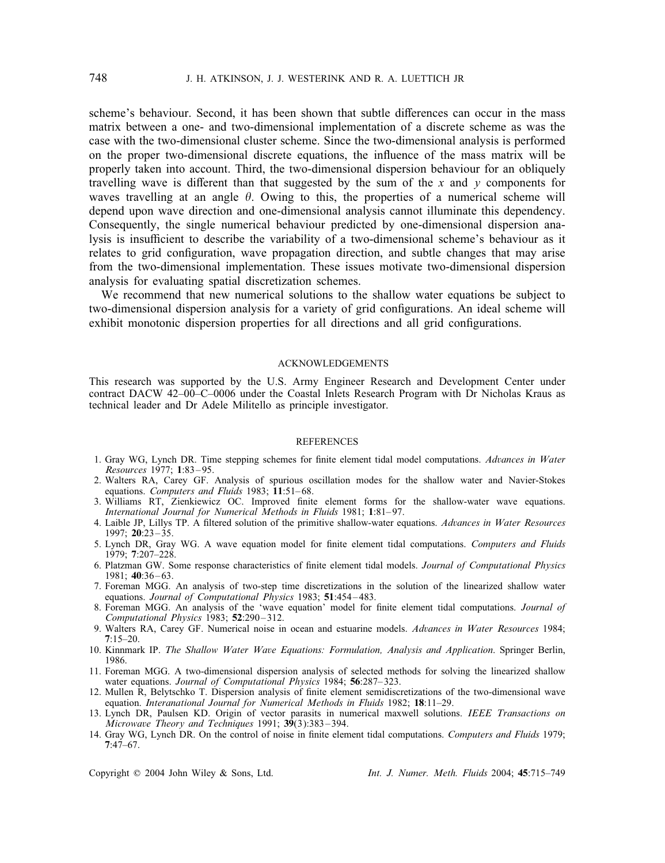scheme's behaviour. Second, it has been shown that subtle differences can occur in the mass matrix between a one- and two-dimensional implementation of a discrete scheme as was the case with the two-dimensional cluster scheme. Since the two-dimensional analysis is performed on the proper two-dimensional discrete equations, the influence of the mass matrix will be properly taken into account. Third, the two-dimensional dispersion behaviour for an obliquely travelling wave is different than that suggested by the sum of the x and y components for waves travelling at an angle  $\theta$ . Owing to this, the properties of a numerical scheme will depend upon wave direction and one-dimensional analysis cannot illuminate this dependency. Consequently, the single numerical behaviour predicted by one-dimensional dispersion analysis is insufficient to describe the variability of a two-dimensional scheme's behaviour as it relates to grid configuration, wave propagation direction, and subtle changes that may arise from the two-dimensional implementation. These issues motivate two-dimensional dispersion analysis for evaluating spatial discretization schemes.

We recommend that new numerical solutions to the shallow water equations be subject to two-dimensional dispersion analysis for a variety of grid configurations. An ideal scheme will exhibit monotonic dispersion properties for all directions and all grid configurations.

### ACKNOWLEDGEMENTS

This research was supported by the U.S. Army Engineer Research and Development Center under contract DACW 42–00–C–0006 under the Coastal Inlets Research Program with Dr Nicholas Kraus as technical leader and Dr Adele Militello as principle investigator.

#### **REFERENCES**

- 1. Gray WG, Lynch DR. Time stepping schemes for finite element tidal model computations. Advances in Water *Resources* 1977; 1:83 – 95.
- 2. Walters RA, Carey GF. Analysis of spurious oscillation modes for the shallow water and Navier-Stokes equations. *Computers and Fluids* 1983; 11:51-68.
- 3. Williams RT, Zienkiewicz OC. Improved finite element forms for the shallow-water wave equations. *International Journal for Numerical Methods in Fluids* 1981; 1:81-97.
- 4. Laible JP, Lillys TP. A filtered solution of the primitive shallow-water equations. *Advances in Water Resources*  $1997: 20:23 - 35.$
- 5. Lynch DR, Gray WG. A wave equation model for finite element tidal computations. Computers and Fluids 1979; 7:207–228.
- 6. Platzman GW. Some response characteristics of finite element tidal models. *Journal of Computational Physics* 1981; 40:36 – 63.
- 7. Foreman MGG. An analysis of two-step time discretizations in the solution of the linearized shallow water equations. *Journal of Computational Physics* 1983; 51:454 – 483.
- 8. Foreman MGG. An analysis of the 'wave equation' model for finite element tidal computations. *Journal of Computational Physics* 1983; 52:290 – 312.
- 9. Walters RA, Carey GF. Numerical noise in ocean and estuarine models. *Advances in Water Resources* 1984;  $7:15-20.$
- 10. Kinnmark IP. *The Shallow Water Wave Equations: Formulation, Analysis and Application*. Springer Berlin, 1986.
- 11. Foreman MGG. A two-dimensional dispersion analysis of selected methods for solving the linearized shallow water equations. *Journal of Computational Physics* 1984; 56:287– 323.
- 12. Mullen R, Belytschko T. Dispersion analysis of finite element semidiscretizations of the two-dimensional wave equation. *Interanational Journal for Numerical Methods in Fluids* 1982; 18:11–29.
- 13. Lynch DR, Paulsen KD. Origin of vector parasits in numerical maxwell solutions. *IEEE Transactions on Microwave Theory and Techniques* 1991; 39(3):383 – 394.
- 14. Gray WG, Lynch DR. On the control of noise in finite element tidal computations. *Computers and Fluids* 1979;  $7:47-67$ .